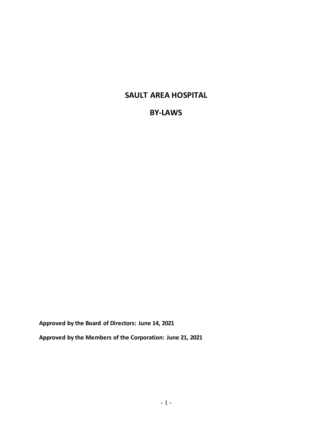# **SAULT AREA HOSPITAL**

# **BY-LAWS**

**Approved by the Board of Directors: June 14, 2021**

**Approved by the Members of the Corporation: June 21, 2021**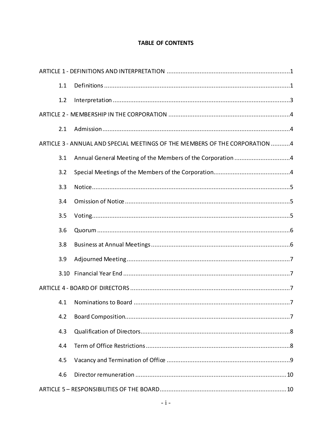# **TABLE OF CONTENTS**

| 1.1  |                                                                             |  |  |  |
|------|-----------------------------------------------------------------------------|--|--|--|
| 1.2  |                                                                             |  |  |  |
|      |                                                                             |  |  |  |
| 2.1  |                                                                             |  |  |  |
|      | ARTICLE 3 - ANNUAL AND SPECIAL MEETINGS OF THE MEMBERS OF THE CORPORATION 4 |  |  |  |
| 3.1  |                                                                             |  |  |  |
| 3.2  |                                                                             |  |  |  |
| 3.3  |                                                                             |  |  |  |
| 3.4  |                                                                             |  |  |  |
| 3.5  |                                                                             |  |  |  |
| 3.6  |                                                                             |  |  |  |
| 3.8  |                                                                             |  |  |  |
| 3.9  |                                                                             |  |  |  |
| 3.10 |                                                                             |  |  |  |
|      |                                                                             |  |  |  |
| 4.1  |                                                                             |  |  |  |
| 4.2  |                                                                             |  |  |  |
| 4.3  |                                                                             |  |  |  |
| 4.4  |                                                                             |  |  |  |
| 4.5  |                                                                             |  |  |  |
| 4.6  |                                                                             |  |  |  |
|      |                                                                             |  |  |  |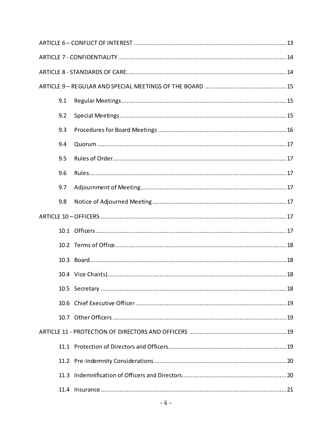| 9.1  |  |
|------|--|
| 9.2  |  |
| 9.3  |  |
| 9.4  |  |
| 9.5  |  |
| 9.6  |  |
| 9.7  |  |
| 9.8  |  |
|      |  |
|      |  |
|      |  |
|      |  |
|      |  |
|      |  |
|      |  |
|      |  |
|      |  |
|      |  |
|      |  |
| 11.3 |  |
|      |  |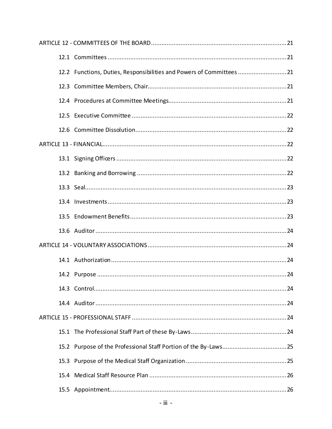| 12.2 Functions, Duties, Responsibilities and Powers of Committees21 |
|---------------------------------------------------------------------|
|                                                                     |
|                                                                     |
|                                                                     |
|                                                                     |
|                                                                     |
|                                                                     |
|                                                                     |
|                                                                     |
|                                                                     |
|                                                                     |
|                                                                     |
|                                                                     |
|                                                                     |
|                                                                     |
|                                                                     |
|                                                                     |
|                                                                     |
|                                                                     |
|                                                                     |
|                                                                     |
|                                                                     |
|                                                                     |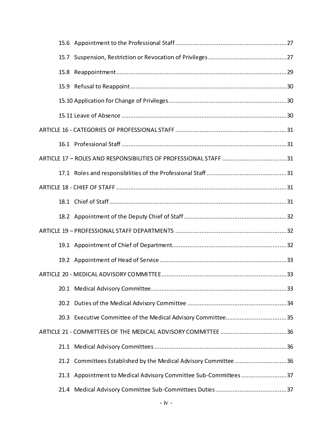| 15.7 |                                                                 |  |
|------|-----------------------------------------------------------------|--|
| 15.8 |                                                                 |  |
|      |                                                                 |  |
|      |                                                                 |  |
|      |                                                                 |  |
|      |                                                                 |  |
|      |                                                                 |  |
|      |                                                                 |  |
|      |                                                                 |  |
|      |                                                                 |  |
|      |                                                                 |  |
|      |                                                                 |  |
|      |                                                                 |  |
|      |                                                                 |  |
|      |                                                                 |  |
|      |                                                                 |  |
|      |                                                                 |  |
|      |                                                                 |  |
|      |                                                                 |  |
|      |                                                                 |  |
|      |                                                                 |  |
|      | 21.2 Committees Established by the Medical Advisory Committee36 |  |
| 21.3 | Appointment to Medical Advisory Committee Sub-Committees 37     |  |
|      |                                                                 |  |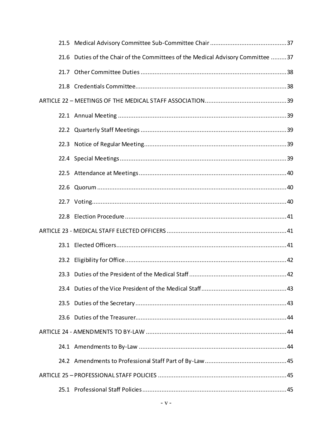| 21.6 Duties of the Chair of the Committees of the Medical Advisory Committee 37 |  |
|---------------------------------------------------------------------------------|--|
|                                                                                 |  |
|                                                                                 |  |
|                                                                                 |  |
|                                                                                 |  |
|                                                                                 |  |
|                                                                                 |  |
|                                                                                 |  |
|                                                                                 |  |
|                                                                                 |  |
|                                                                                 |  |
|                                                                                 |  |
|                                                                                 |  |
|                                                                                 |  |
|                                                                                 |  |
|                                                                                 |  |
|                                                                                 |  |
|                                                                                 |  |
|                                                                                 |  |
|                                                                                 |  |
|                                                                                 |  |
|                                                                                 |  |
|                                                                                 |  |
|                                                                                 |  |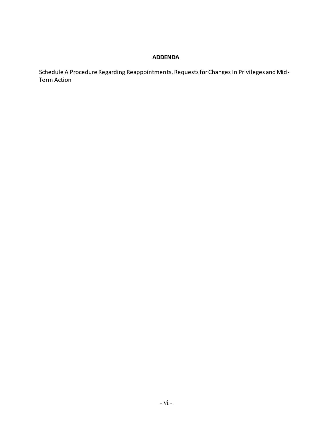## **ADDENDA**

Schedule A Procedure Regarding Reappointments, Requests for Changes In Privileges and Mid-Term Action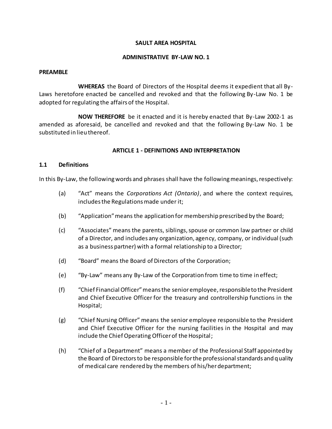#### **SAULT AREA HOSPITAL**

#### **ADMINISTRATIVE BY-LAW NO. 1**

#### **PREAMBLE**

**WHEREAS** the Board of Directors of the Hospital deems it expedient that all By-Laws heretofore enacted be cancelled and revoked and that the following By-Law No. 1 be adopted for regulating the affairs of the Hospital.

**NOW THEREFORE** be it enacted and it is hereby enacted that By-Law 2002-1 as amended as aforesaid, be cancelled and revoked and that the following By-Law No. 1 be substituted in lieu thereof.

#### **ARTICLE 1 - DEFINITIONS AND INTERPRETATION**

#### <span id="page-7-1"></span><span id="page-7-0"></span>**1.1 Definitions**

In this By-Law, the following words and phrases shall have the following meanings, respectively:

- (a) "Act" means the *Corporations Act (Ontario)*, and where the context requires, includes the Regulations made under it;
- (b) "Application" means the application for membership prescribed by the Board;
- (c) "Associates" means the parents, siblings, spouse or common law partner or child of a Director, and includes any organization, agency, company, or individual (such as a business partner) with a formal relationship to a Director;
- (d) "Board" means the Board of Directors of the Corporation;
- (e) "By-Law" means any By-Law of the Corporation from time to time in effect;
- (f) "Chief Financial Officer" means the senior employee, responsible to the President and Chief Executive Officer for the treasury and controllership functions in the Hospital;
- (g) "Chief Nursing Officer" means the senior employee responsible to the President and Chief Executive Officer for the nursing facilities in the Hospital and may include the Chief Operating Officer of the Hospital;
- (h) "Chief of a Department" means a member of the Professional Staff appointed by the Board of Directors to be responsible for the professional standards and quality of medical care rendered by the members of his/her department;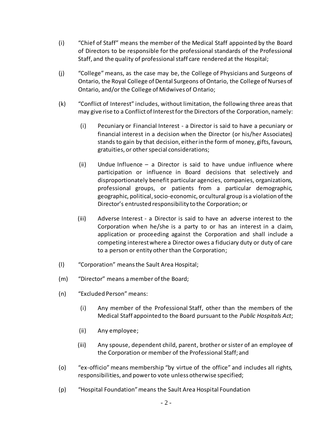- (i) "Chief of Staff" means the member of the Medical Staff appointed by the Board of Directors to be responsible for the professional standards of the Professional Staff, and the quality of professional staff care rendered at the Hospital;
- (j) "College" means, as the case may be, the College of Physicians and Surgeons of Ontario, the Royal College of Dental Surgeons of Ontario, the College of Nurses of Ontario, and/or the College of Midwives of Ontario;
- (k) "Conflict of Interest" includes, without limitation, the following three areas that may give rise to a Conflict of Interest for the Directors of the Corporation, namely:
	- (i) Pecuniary or Financial Interest a Director is said to have a pecuniary or financial interest in a decision when the Director (or his/her Associates) stands to gain by that decision, either in the form of money, gifts, favours, gratuities, or other special considerations;
	- (ii) Undue Influence a Director is said to have undue influence where participation or influence in Board decisions that selectively and disproportionately benefit particular agencies, companies, organizations, professional groups, or patients from a particular demographic, geographic, political, socio-economic, or cultural group is a violation of the Director's entrusted responsibility to the Corporation; or
	- (iii) Adverse Interest a Director is said to have an adverse interest to the Corporation when he/she is a party to or has an interest in a claim, application or proceeding against the Corporation and shall include a competing interest where a Director owes a fiduciary duty or duty of care to a person or entity other than the Corporation;
- (l) "Corporation" means the Sault Area Hospital;
- (m) "Director" means a member of the Board;
- (n) "Excluded Person" means:
	- (i) Any member of the Professional Staff, other than the members of the Medical Staff appointed to the Board pursuant to the *Public Hospitals Act*;
	- (ii) Any employee;
	- (iii) Any spouse, dependent child, parent, brother or sister of an employee of the Corporation or member of the Professional Staff; and
- (o) "ex-officio" means membership "by virtue of the office" and includes all rights, responsibilities, and power to vote unless otherwise specified;
- (p) "Hospital Foundation" means the Sault Area Hospital Foundation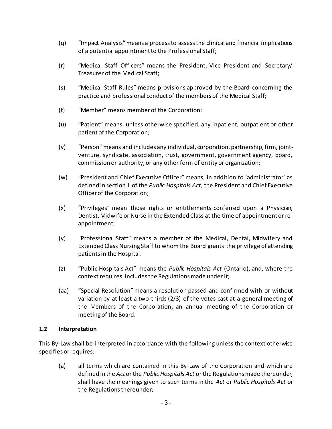- (q) "Impact Analysis" means a process to assess the clinical and financial implications of a potential appointment to the Professional Staff;
- (r) "Medical Staff Officers" means the President, Vice President and Secretary/ Treasurer of the Medical Staff;
- (s) "Medical Staff Rules" means provisions approved by the Board concerning the practice and professional conduct of the members of the Medical Staff;
- (t) "Member" means member of the Corporation;
- (u) "Patient" means, unless otherwise specified, any inpatient, outpatient or other patient of the Corporation;
- (v) "Person" means and includes any individual, corporation, partnership, firm, jointventure, syndicate, association, trust, government, government agency, board, commission or authority, or any other form of entity or organization;
- (w) "President and Chief Executive Officer" means, in addition to 'administrator' as defined in section 1 of the *Public Hospitals Act*, the President and Chief Executive Officer of the Corporation;
- (x) "Privileges" mean those rights or entitlements conferred upon a Physician, Dentist, Midwife or Nurse in the Extended Class at the time of appointment or re appointment;
- (y) "Professional Staff" means a member of the Medical, Dental, Midwifery and Extended Class Nursing Staff to whom the Board grants the privilege of attending patients in the Hospital.
- (z) "Public Hospitals Act" means the *Public Hospitals Act* (Ontario), and, where the context requires, includes the Regulations made under it;
- (aa) "Special Resolution" means a resolution passed and confirmed with or without variation by at least a two-thirds (2/3) of the votes cast at a general meeting of the Members of the Corporation, an annual meeting of the Corporation or meeting of the Board.

### <span id="page-9-0"></span>**1.2 Interpretation**

This By-Law shall be interpreted in accordance with the following unless the context otherwise specifies or requires:

(a) all terms which are contained in this By-Law of the Corporation and which are defined in the *Act* or the *Public Hospitals Act* or the Regulations made thereunder, shall have the meanings given to such terms in the *Act* or *Public Hospitals Act* or the Regulations thereunder;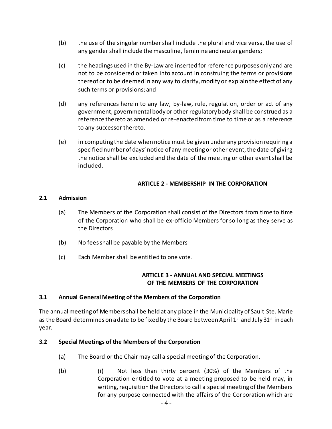- (b) the use of the singular number shall include the plural and vice versa, the use of any gender shall include the masculine, feminine and neuter genders;
- (c) the headings used in the By-Law are inserted for reference purposes only and are not to be considered or taken into account in construing the terms or provisions thereof or to be deemed in any way to clarify, modify or explain the effect of any such terms or provisions; and
- (d) any references herein to any law, by-law, rule, regulation, order or act of any government, governmental body or other regulatory body shall be construed as a reference thereto as amended or re-enacted from time to time or as a reference to any successor thereto.
- (e) in computing the date when notice must be given under any provision requiring a specified number of days' notice of any meeting or other event, the date of giving the notice shall be excluded and the date of the meeting or other event shall be included.

## **ARTICLE 2 - MEMBERSHIP IN THE CORPORATION**

### <span id="page-10-1"></span><span id="page-10-0"></span>**2.1 Admission**

- (a) The Members of the Corporation shall consist of the Directors from time to time of the Corporation who shall be ex-officio Members for so long as they serve as the Directors
- (b) No fees shall be payable by the Members
- <span id="page-10-2"></span>(c) Each Membershall be entitled to one vote.

### **ARTICLE 3 - ANNUAL AND SPECIAL MEETINGS OF THE MEMBERS OF THE CORPORATION**

### <span id="page-10-3"></span>**3.1 Annual General Meeting of the Members of the Corporation**

The annual meeting of Members shall be held at any place in the Municipality of Sault Ste. Marie as the Board determines on a date to be fixed by the Board between April 1st and July 31st in each year.

#### <span id="page-10-4"></span>**3.2 Special Meetings of the Members of the Corporation**

- (a) The Board or the Chair may call a special meeting of the Corporation.
- (b) (i) Not less than thirty percent (30%) of the Members of the Corporation entitled to vote at a meeting proposed to be held may, in writing, requisition the Directors to call a special meeting of the Members for any purpose connected with the affairs of the Corporation which are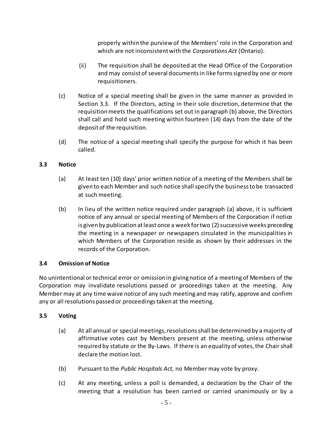properly within the purview of the Members' role in the Corporation and which are not inconsistent with the *Corporations Act* (Ontario).

- (ii) The requisition shall be deposited at the Head Office of the Corporation and may consist of several documents in like forms signed by one or more requisitioners.
- (c) Notice of a special meeting shall be given in the same manner as provided in Section [3.3.](#page-11-0) If the Directors, acting in their sole discretion, determine that the requisition meets the qualifications set out in paragraph (b) above, the Directors shall call and hold such meeting within fourteen (14) days from the date of the deposit of the requisition.
- (d) The notice of a special meeting shall specify the purpose for which it has been called.

## <span id="page-11-0"></span>**3.3 Notice**

- (a) At least ten (10) days' prior written notice of a meeting of the Members shall be given to each Member and such notice shall specify the business to be transacted at such meeting.
- (b) In lieu of the written notice required under paragraph (a) above, it is sufficient notice of any annual or special meeting of Members of the Corporation if notice is given by publication at least once a week for two (2) successive weeks preceding the meeting in a newspaper or newspapers circulated in the municipalities in which Members of the Corporation reside as shown by their addresses in the records of the Corporation.

# <span id="page-11-1"></span>**3.4 Omission of Notice**

No unintentional or technical error or omission in giving notice of a meeting of Members of the Corporation may invalidate resolutions passed or proceedings taken at the meeting. Any Member may at any time waive notice of any such meeting and may ratify, approve and confirm any or all resolutions passed or proceedings taken at the meeting.

# <span id="page-11-2"></span>**3.5 Voting**

- (a) At all annual or special meetings, resolutions shall be determined by a majority of affirmative votes cast by Members present at the meeting, unless otherwise required by statute or the By-Laws. If there is an equality of votes, the Chair shall declare the motion lost.
- (b) Pursuant to the *Public Hospitals Act,* no Member may vote by proxy.
- (c) At any meeting, unless a poll is demanded, a declaration by the Chair of the meeting that a resolution has been carried or carried unanimously or by a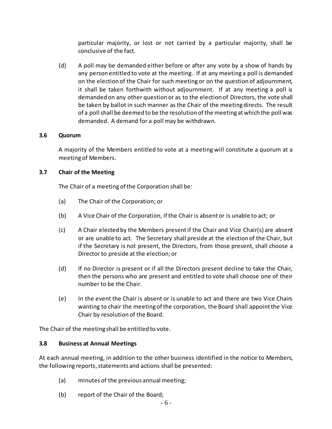particular majority, or lost or not carried by a particular majority, shall be conclusive of the fact.

(d) A poll may be demanded either before or after any vote by a show of hands by any person entitled to vote at the meeting. If at any meeting a poll is demanded on the election of the Chair for such meeting or on the question of adjournment, it shall be taken forthwith without adjournment. If at any meeting a poll is demanded on any other question or as to the election of Directors, the vote shall be taken by ballot in such manner as the Chair of the meeting directs. The result of a poll shall be deemed to be the resolution of the meeting at which the poll was demanded. A demand for a poll may be withdrawn.

### <span id="page-12-0"></span>**3.6 Quorum**

A majority of the Members entitled to vote at a meeting will constitute a quorum at a meeting of Members.

#### **3.7 Chair of the Meeting**

The Chair of a meeting of the Corporation shall be:

- (a) The Chair of the Corporation; or
- (b) A Vice Chair of the Corporation, if the Chair is absent or is unable to act; or
- (c) A Chair elected by the Members present if the Chair and Vice Chair(s) are absent or are unable to act. The Secretary shall preside at the election of the Chair, but if the Secretary is not present, the Directors, from those present, shall choose a Director to preside at the election; or
- (d) If no Director is present or if all the Directors present decline to take the Chair, then the persons who are present and entitled to vote shall choose one of their number to be the Chair.
- (e) In the event the Chair is absent or is unable to act and there are two Vice Chairs wanting to chair the meeting of the corporation, the Board shall appoint the Vice Chair by resolution of the Board.

The Chair of the meeting shall be entitled to vote.

#### <span id="page-12-1"></span>**3.8 Business at Annual Meetings**

At each annual meeting, in addition to the other business identified in the notice to Members, the following reports, statements and actions shall be presented:

- (a) minutes of the previous annual meeting;
- (b) report of the Chair of the Board;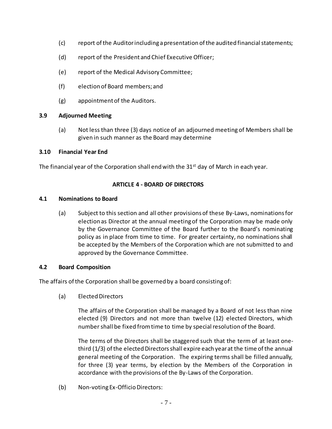- (c) report of the Auditor including a presentation of the audited financial statements;
- (d) report of the President and Chief Executive Officer;
- (e) report of the Medical Advisory Committee;
- (f) election of Board members; and
- (g) appointment of the Auditors.

### <span id="page-13-0"></span>**3.9 Adjourned Meeting**

(a) Not less than three (3) days notice of an adjourned meeting of Members shall be given in such manner as the Board may determine

### <span id="page-13-1"></span>**3.10 Financial Year End**

<span id="page-13-2"></span>The financial year of the Corporation shall end with the 31<sup>st</sup> day of March in each year.

### **ARTICLE 4 - BOARD OF DIRECTORS**

#### <span id="page-13-3"></span>**4.1 Nominations to Board**

(a) Subject to this section and all other provisions of these By-Laws, nominations for election as Director at the annual meeting of the Corporation may be made only by the Governance Committee of the Board further to the Board's nominating policy as in place from time to time. For greater certainty, no nominations shall be accepted by the Members of the Corporation which are not submitted to and approved by the Governance Committee.

### <span id="page-13-4"></span>**4.2 Board Composition**

The affairs of the Corporation shall be governed by a board consisting of:

(a) Elected Directors

The affairs of the Corporation shall be managed by a Board of not less than nine elected (9) Directors and not more than twelve (12) elected Directors, which number shall be fixed from time to time by special resolution of the Board.

The terms of the Directors shall be staggered such that the term of at least onethird (1/3) of the elected Directors shall expire each year at the time of the annual general meeting of the Corporation. The expiring terms shall be filled annually, for three (3) year terms, by election by the Members of the Corporation in accordance with the provisions of the By-Laws of the Corporation.

(b) Non-voting Ex-Officio Directors: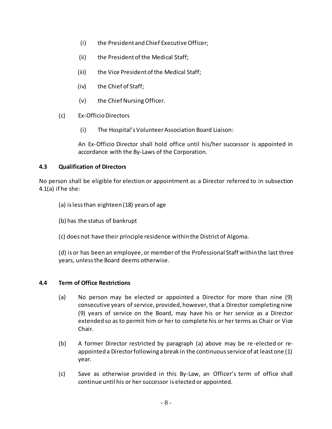- (i) the President and Chief Executive Officer;
- (ii) the President of the Medical Staff;
- (iii) the Vice President of the Medical Staff;
- (iv) the Chief of Staff;
- (v) the Chief Nursing Officer.
- (c) Ex-Officio Directors
	- (i) The Hospital's Volunteer Association Board Liaison:

An Ex-Officio Director shall hold office until his/her successor is appointed in accordance with the By-Laws of the Corporation.

### <span id="page-14-0"></span>**4.3 Qualification of Directors**

No person shall be eligible for election or appointment as a Director referred to in subsection 4.1(a) if he she:

- (a) is less than eighteen (18) years of age
- (b) has the status of bankrupt
- (c) does not have their principle residence within the District of Algoma.

(d) is or has been an employee, or member of the Professional Staff within the last three years, unless the Board deems otherwise.

### <span id="page-14-1"></span>**4.4 Term of Office Restrictions**

- (a) No person may be elected or appointed a Director for more than nine (9) consecutive years of service, provided, however, that a Director completing nine (9) years of service on the Board, may have his or her service as a Director extended so as to permit him or her to complete his or her terms as Chair or Vice Chair.
- (b) A former Director restricted by paragraph (a) above may be re-elected or reappointed a Director following a break in the continuous service of at least one (1) year.
- (c) Save as otherwise provided in this By-Law, an Officer's term of office shall continue until his or her successor is elected or appointed.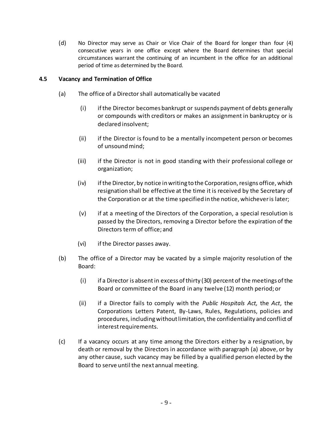(d) No Director may serve as Chair or Vice Chair of the Board for longer than four (4) consecutive years in one office except where the Board determines that special circumstances warrant the continuing of an incumbent in the office for an additional period of time as determined by the Board.

### <span id="page-15-0"></span>**4.5 Vacancy and Termination of Office**

- (a) The office of a Director shall automatically be vacated
	- (i) if the Director becomes bankrupt or suspends payment of debts generally or compounds with creditors or makes an assignment in bankruptcy or is declared insolvent;
	- (ii) if the Director is found to be a mentally incompetent person or becomes of unsound mind;
	- (iii) if the Director is not in good standing with their professional college or organization;
	- (iv) if the Director, by notice in writing to the Corporation, resigns office, which resignation shall be effective at the time it is received by the Secretary of the Corporation or at the time specified in the notice, whichever is later;
	- (v) if at a meeting of the Directors of the Corporation, a special resolution is passed by the Directors, removing a Director before the expiration of the Directors term of office; and
	- (vi) if the Director passes away.
- (b) The office of a Director may be vacated by a simple majority resolution of the Board:
	- (i) if a Director is absentin excess of thirty (30) percent of the meetings of the Board or committee of the Board in any twelve (12) month period; or
	- (ii) if a Director fails to comply with the *Public Hospitals Act,* the *Act*, the Corporations Letters Patent, By-Laws, Rules, Regulations, policies and procedures, including without limitation, the confidentiality and conflict of interest requirements.
- (c) If a vacancy occurs at any time among the Directors either by a resignation, by death or removal by the Directors in accordance with paragraph (a) above, or by any other cause, such vacancy may be filled by a qualified person elected by the Board to serve until the next annual meeting.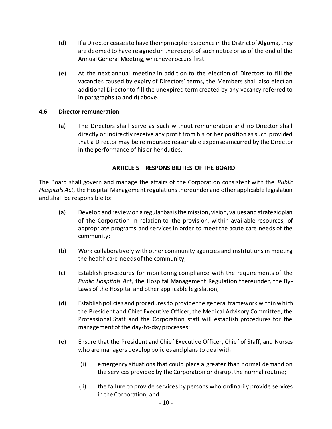- (d) If a Director ceases to have their principle residence in the District of Algoma, they are deemed to have resigned on the receipt of such notice or as of the end of the Annual General Meeting, whichever occurs first.
- (e) At the next annual meeting in addition to the election of Directors to fill the vacancies caused by expiry of Directors' terms, the Members shall also elect an additional Director to fill the unexpired term created by any vacancy referred to in paragraphs (a and d) above.

#### <span id="page-16-0"></span>**4.6 Director remuneration**

(a) The Directors shall serve as such without remuneration and no Director shall directly or indirectly receive any profit from his or her position as such provided that a Director may be reimbursed reasonable expenses incurred by the Director in the performance of his or her duties.

#### **ARTICLE 5 – RESPONSIBILITIES OF THE BOARD**

<span id="page-16-1"></span>The Board shall govern and manage the affairs of the Corporation consistent with the *Public Hospitals Act*, the Hospital Management regulations thereunder and other applicable legislation and shall be responsible to:

- (a) Develop and review on a regular basis the mission, vision, values and strategic plan of the Corporation in relation to the provision, within available resources, of appropriate programs and services in order to meet the acute care needs of the community;
- (b) Work collaboratively with other community agencies and institutions in meeting the health care needs of the community;
- (c) Establish procedures for monitoring compliance with the requirements of the *Public Hospitals Act*, the Hospital Management Regulation thereunder, the By-Laws of the Hospital and other applicable legislation;
- (d) Establish policies and procedures to provide the general framework within which the President and Chief Executive Officer, the Medical Advisory Committee, the Professional Staff and the Corporation staff will establish procedures for the management of the day-to-day processes;
- (e) Ensure that the President and Chief Executive Officer, Chief of Staff, and Nurses who are managers develop policies and plans to deal with:
	- (i) emergency situations that could place a greater than normal demand on the services provided by the Corporation or disrupt the normal routine;
	- (ii) the failure to provide services by persons who ordinarily provide services in the Corporation; and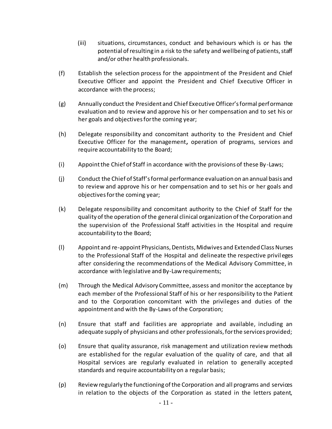- (iii) situations, circumstances, conduct and behaviours which is or has the potential of resulting in a risk to the safety and wellbeing of patients, staff and/or other health professionals.
- (f) Establish the selection process for the appointment of the President and Chief Executive Officer and appoint the President and Chief Executive Officer in accordance with the process;
- (g) Annually conduct the President and Chief Executive Officer's formal performance evaluation and to review and approve his or her compensation and to set his or her goals and objectives for the coming year;
- (h) Delegate responsibility and concomitant authority to the President and Chief Executive Officer for the management**,** operation of programs, services and require accountability to the Board;
- (i) Appoint the Chief of Staff in accordance with the provisions of these By-Laws;
- (j) Conduct the Chief of Staff's formal performance evaluation on an annual basis and to review and approve his or her compensation and to set his or her goals and objectives for the coming year;
- (k) Delegate responsibility and concomitant authority to the Chief of Staff for the quality of the operation of the general clinical organization of the Corporation and the supervision of the Professional Staff activities in the Hospital and require accountability to the Board;
- (l) Appoint and re-appoint Physicians, Dentists, Midwives and Extended ClassNurses to the Professional Staff of the Hospital and delineate the respective privil eges after considering the recommendations of the Medical Advisory Committee, in accordance with legislative and By-Law requirements;
- (m) Through the Medical Advisory Committee, assess and monitor the acceptance by each member of the Professional Staff of his or her responsibility to the Patient and to the Corporation concomitant with the privileges and duties of the appointment and with the By-Laws of the Corporation;
- (n) Ensure that staff and facilities are appropriate and available, including an adequate supply of physicians and other professionals, for the services provided;
- (o) Ensure that quality assurance, risk management and utilization review methods are established for the regular evaluation of the quality of care, and that all Hospital services are regularly evaluated in relation to generally accepted standards and require accountability on a regular basis;
- (p) Review regularly the functioning of the Corporation and all programs and services in relation to the objects of the Corporation as stated in the letters patent,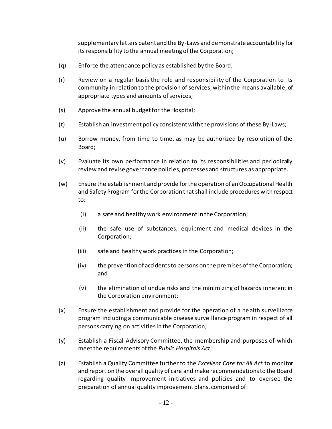supplementary letters patent and the By-Laws and demonstrate accountability for its responsibility to the annual meeting of the Corporation;

- (q) Enforce the attendance policy as established by the Board;
- (r) Review on a regular basis the role and responsibility of the Corporation to its community in relation to the provision of services, within the means available, of appropriate types and amounts of services;
- (s) Approve the annual budget for the Hospital;
- (t) Establish an investment policy consistent with the provisions of these By-Laws;
- (u) Borrow money, from time to time, as may be authorized by resolution of the Board;
- (v) Evaluate its own performance in relation to its responsibilities and periodically review and revise governance policies, processes and structures as appropriate.
- (w) Ensure the establishment and provide for the operation of an Occupational Health and Safety Program for the Corporation that shall include procedures with respect to:
	- (i) a safe and healthy work environment in the Corporation;
	- (ii) the safe use of substances, equipment and medical devices in the Corporation;
	- (iii) safe and healthy work practices in the Corporation;
	- (iv) the prevention of accidents to persons on the premises of the Corporation; and
	- (v) the elimination of undue risks and the minimizing of hazards inherent in the Corporation environment;
- (x) Ensure the establishment and provide for the operation of a health surveillance program including a communicable disease surveillance program in respect of all persons carrying on activities in the Corporation;
- (y) Establish a Fiscal Advisory Committee, the membership and purposes of which meet the requirements of the *Public Hospitals Act*;
- (z) Establish a Quality Committee further to the *Excellent Care for All Act* to monitor and report on the overall quality of care and make recommendations to the Board regarding quality improvement initiatives and policies and to oversee the preparation of annual quality improvement plans, comprised of: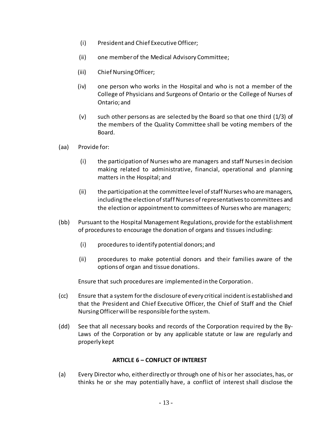- (i) President and Chief Executive Officer;
- (ii) one member of the Medical Advisory Committee;
- (iii) Chief Nursing Officer;
- (iv) one person who works in the Hospital and who is not a member of the College of Physicians and Surgeons of Ontario or the College of Nurses of Ontario; and
- (v) such other persons as are selected by the Board so that one third (1/3) of the members of the Quality Committee shall be voting members of the Board.
- (aa) Provide for:
	- (i) the participation of Nurses who are managers and staff Nurses in decision making related to administrative, financial, operational and planning matters in the Hospital; and
	- (ii) the participation at the committee level of staff Nurses who are managers, including the election of staff Nurses of representatives to committees and the election or appointment to committees of Nurses who are managers;
- (bb) Pursuant to the Hospital Management Regulations, provide for the establishment of procedures to encourage the donation of organs and tissues including:
	- (i) procedures to identify potential donors; and
	- (ii) procedures to make potential donors and their families aware of the options of organ and tissue donations.

Ensure that such procedures are implemented in the Corporation.

- (cc) Ensure that a system for the disclosure of every critical incident is established and that the President and Chief Executive Officer, the Chief of Staff and the Chief Nursing Officer will be responsible for the system.
- (dd) See that all necessary books and records of the Corporation required by the By-Laws of the Corporation or by any applicable statute or law are regularly and properly kept

### **ARTICLE 6 – CONFLICT OF INTEREST**

<span id="page-19-0"></span>(a) Every Director who, either directly or through one of his or her associates, has, or thinks he or she may potentially have, a conflict of interest shall disclose the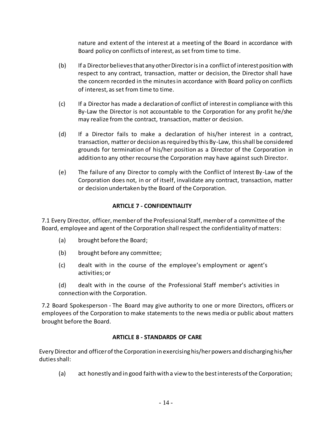nature and extent of the interest at a meeting of the Board in accordance with Board policy on conflicts of interest, as set from time to time.

- (b) If a Director believes that any other Director is in a conflict of interest position with respect to any contract, transaction, matter or decision, the Director shall have the concern recorded in the minutes in accordance with Board policy on conflicts of interest, as set from time to time.
- (c) If a Director has made a declaration of conflict of interest in compliance with this By-Law the Director is not accountable to the Corporation for any profit he/she may realize from the contract, transaction, matter or decision.
- (d) If a Director fails to make a declaration of his/her interest in a contract, transaction, matter or decision as required by this By-Law, this shall be considered grounds for termination of his/her position as a Director of the Corporation in addition to any other recourse the Corporation may have against such Director.
- (e) The failure of any Director to comply with the Conflict of Interest By-Law of the Corporation does not, in or of itself, invalidate any contract, transaction, matter or decision undertaken by the Board of the Corporation.

# **ARTICLE 7 - CONFIDENTIALITY**

<span id="page-20-0"></span>7.1 Every Director, officer, member of the Professional Staff, member of a committee of the Board, employee and agent of the Corporation shall respect the confidentiality of matters:

- (a) brought before the Board;
- (b) brought before any committee;
- (c) dealt with in the course of the employee's employment or agent's activities; or
- (d) dealt with in the course of the Professional Staff member's activities in connection with the Corporation.

7.2 Board Spokesperson - The Board may give authority to one or more Directors, officers or employees of the Corporation to make statements to the news media or public about matters brought before the Board.

### **ARTICLE 8 - STANDARDS OF CARE**

<span id="page-20-1"></span>Every Director and officer of the Corporation in exercising his/her powers and discharging his/her duties shall:

(a) act honestly and in good faith with a view to the best interests of the Corporation;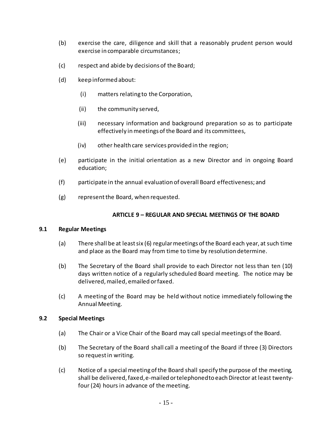- (b) exercise the care, diligence and skill that a reasonably prudent person would exercise in comparable circumstances;
- (c) respect and abide by decisions of the Board;
- (d) keep informed about:
	- (i) matters relating to the Corporation,
	- (ii) the community served,
	- (iii) necessary information and background preparation so as to participate effectively in meetings of the Board and its committees,
	- (iv) other health care services provided in the region;
- (e) participate in the initial orientation as a new Director and in ongoing Board education;
- (f) participate in the annual evaluation of overall Board effectiveness; and
- (g) represent the Board, when requested.

#### **ARTICLE 9 – REGULAR AND SPECIAL MEETINGS OF THE BOARD**

#### <span id="page-21-1"></span><span id="page-21-0"></span>**9.1 Regular Meetings**

- (a) There shall be at least six (6) regular meetings of the Board each year, at such time and place as the Board may from time to time by resolution determine.
- (b) The Secretary of the Board shall provide to each Director not less than ten (10) days written notice of a regularly scheduled Board meeting. The notice may be delivered, mailed, emailed or faxed.
- (c) A meeting of the Board may be held without notice immediately following the Annual Meeting.

#### <span id="page-21-2"></span>**9.2 Special Meetings**

- (a) The Chair or a Vice Chair of the Board may call special meetings of the Board.
- (b) The Secretary of the Board shall call a meeting of the Board if three (3) Directors so request in writing.
- (c) Notice of a special meeting of the Board shall specify the purpose of the meeting, shall be delivered, faxed, e-mailed or telephoned to each Director at least twentyfour (24) hours in advance of the meeting.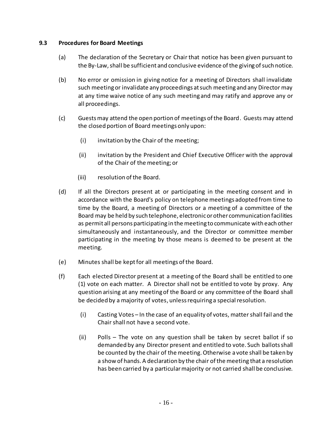#### <span id="page-22-0"></span>**9.3 Procedures for Board Meetings**

- (a) The declaration of the Secretary or Chair that notice has been given pursuant to the By-Law, shall be sufficient and conclusive evidence of the giving of such notice.
- (b) No error or omission in giving notice for a meeting of Directors shall invalidate such meeting or invalidate any proceedings at such meeting and any Director may at any time waive notice of any such meeting and may ratify and approve any or all proceedings.
- (c) Guests may attend the open portion of meetings of the Board. Guests may attend the closed portion of Board meetings only upon:
	- (i) invitation by the Chair of the meeting;
	- (ii) invitation by the President and Chief Executive Officer with the approval of the Chair of the meeting; or
	- (iii) resolution of the Board.
- (d) If all the Directors present at or participating in the meeting consent and in accordance with the Board's policy on telephone meetings adopted from time to time by the Board, a meeting of Directors or a meeting of a committee of the Board may be held by such telephone, electronic or other communication facilities as permit all persons participating in the meeting to communicate with each other simultaneously and instantaneously, and the Director or committee member participating in the meeting by those means is deemed to be present at the meeting.
- (e) Minutes shall be kept for all meetings of the Board.
- (f) Each elected Director present at a meeting of the Board shall be entitled to one (1) vote on each matter. A Director shall not be entitled to vote by proxy. Any question arising at any meeting of the Board or any committee of the Board shall be decided by a majority of votes, unless requiring a special resolution.
	- (i) Casting Votes In the case of an equality of votes, matter shall fail and the Chair shall not have a second vote.
	- (ii) Polls The vote on any question shall be taken by secret ballot if so demanded by any Director present and entitled to vote. Such ballotsshall be counted by the chair of the meeting. Otherwise a vote shall be taken by a show of hands. A declaration by the chair of the meeting that a resolution has been carried by a particular majority or not carried shall be conclusive.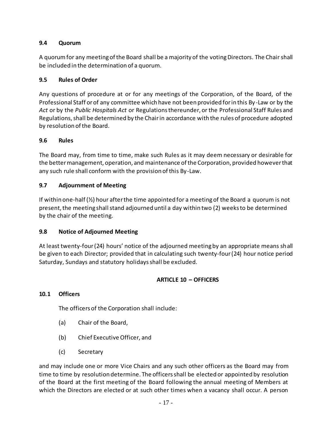## <span id="page-23-0"></span>**9.4 Quorum**

A quorum for any meeting of the Board shall be a majority of the voting Directors. The Chair shall be included in the determination of a quorum.

## <span id="page-23-1"></span>**9.5 Rules of Order**

Any questions of procedure at or for any meetings of the Corporation, of the Board, of the Professional Staff or of any committee which have not been provided for in this By -Law or by the *Act* or by the *Public Hospitals Act* or Regulations thereunder, or the Professional Staff Rules and Regulations, shall be determined by the Chair in accordance with the rules of procedure adopted by resolution of the Board.

### <span id="page-23-2"></span>**9.6 Rules**

The Board may, from time to time, make such Rules as it may deem necessary or desirable for the better management, operation, and maintenance of the Corporation, provided however that any such rule shall conform with the provision of this By-Law.

### <span id="page-23-3"></span>**9.7 Adjournment of Meeting**

If within one-half (½) hour after the time appointed for a meeting of the Board a quorum is not present, the meeting shall stand adjourned until a day within two (2) weeks to be determined by the chair of the meeting.

### <span id="page-23-4"></span>**9.8 Notice of Adjourned Meeting**

At least twenty-four (24) hours' notice of the adjourned meeting by an appropriate means shall be given to each Director; provided that in calculating such twenty-four (24) hour notice period Saturday, Sundays and statutory holidays shall be excluded.

### **ARTICLE 10 – OFFICERS**

### <span id="page-23-6"></span><span id="page-23-5"></span>**10.1 Officers**

The officers of the Corporation shall include:

- (a) Chair of the Board,
- (b) Chief Executive Officer, and
- (c) Secretary

and may include one or more Vice Chairs and any such other officers as the Board may from time to time by resolution determine. The officers shall be elected or appointed by resolution of the Board at the first meeting of the Board following the annual meeting of Members at which the Directors are elected or at such other times when a vacancy shall occur. A person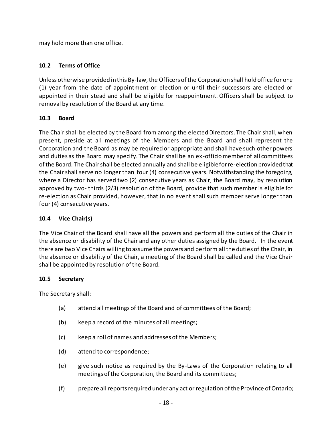may hold more than one office.

# <span id="page-24-0"></span>**10.2 Terms of Office**

Unless otherwise provided in this By-law, the Officers of the Corporation shall hold office for one (1) year from the date of appointment or election or until their successors are elected or appointed in their stead and shall be eligible for reappointment. Officers shall be subject to removal by resolution of the Board at any time.

# <span id="page-24-1"></span>**10.3 Board**

The Chair shall be elected by the Board from among the elected Directors. The Chair shall, when present, preside at all meetings of the Members and the Board and shall represent the Corporation and the Board as may be required or appropriate and shall have such other powers and duties as the Board may specify. The Chair shall be an ex-officio member of all committees of the Board. The Chair shall be elected annually and shall be eligible for re-election provided that the Chair shall serve no longer than four (4) consecutive years. Notwithstanding the foregoing, where a Director has served two (2) consecutive years as Chair, the Board may, by resolution approved by two- thirds (2/3) resolution of the Board, provide that such member is eligible for re-election as Chair provided, however, that in no event shall such member serve longer than four (4) consecutive years.

### <span id="page-24-2"></span>**10.4 Vice Chair(s)**

The Vice Chair of the Board shall have all the powers and perform all the duties of the Chair in the absence or disability of the Chair and any other duties assigned by the Board. In the event there are two Vice Chairs willing to assume the powers and perform all the duties of the Chair, in the absence or disability of the Chair, a meeting of the Board shall be called and the Vice Chair shall be appointed by resolution of the Board.

### <span id="page-24-3"></span>**10.5 Secretary**

The Secretary shall:

- (a) attend all meetings of the Board and of committees of the Board;
- (b) keep a record of the minutes of all meetings;
- (c) keep a roll of names and addresses of the Members;
- (d) attend to correspondence;
- (e) give such notice as required by the By-Laws of the Corporation relating to all meetings of the Corporation, the Board and its committees;
- (f) prepare all reports required under any act or regulation of the Province of Ontario;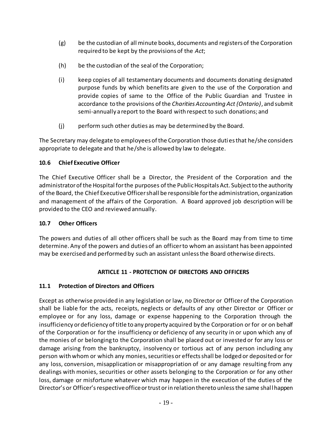- (g) be the custodian of all minute books, documents and registers of the Corporation required to be kept by the provisions of the *Act*;
- (h) be the custodian of the seal of the Corporation;
- (i) keep copies of all testamentary documents and documents donating designated purpose funds by which benefits are given to the use of the Corporation and provide copies of same to the Office of the Public Guardian and Trustee in accordance to the provisions of the *Charities Accounting Act (Ontario)*, and submit semi-annually a report to the Board with respect to such donations; and
- (j) perform such other duties as may be determined by the Board.

The Secretary may delegate to employees of the Corporation those duties that he/she considers appropriate to delegate and that he/she is allowed by law to delegate.

## <span id="page-25-0"></span>**10.6 Chief Executive Officer**

The Chief Executive Officer shall be a Director, the President of the Corporation and the administrator of the Hospital for the purposes of the Public Hospitals Act. Subject to the authority of the Board, the Chief Executive Officer shall be responsible for the administration, organization and management of the affairs of the Corporation. A Board approved job description will be provided to the CEO and reviewed annually.

# <span id="page-25-1"></span>**10.7 Other Officers**

The powers and duties of all other officers shall be such as the Board may from time to time determine. Any of the powers and duties of an officer to whom an assistant has been appointed may be exercised and performed by such an assistant unless the Board otherwise directs.

# **ARTICLE 11 - PROTECTION OF DIRECTORS AND OFFICERS**

# <span id="page-25-3"></span><span id="page-25-2"></span>**11.1 Protection of Directors and Officers**

Except as otherwise provided in any legislation or law, no Director or Officer of the Corporation shall be liable for the acts, receipts, neglects or defaults of any other Director or Officer or employee or for any loss, damage or expense happening to the Corporation through the insufficiency or deficiency of title to any property acquired by the Corporation or for or on behalf of the Corporation or for the insufficiency or deficiency of any security in or upon which any of the monies of or belonging to the Corporation shall be placed out or invested or for any loss or damage arising from the bankruptcy, insolvency or tortious act of any person including any person with whom or which any monies, securities or effects shall be lodged or deposited or for any loss, conversion, misapplication or misappropriation of or any damage resulting from any dealings with monies, securities or other assets belonging to the Corporation or for any other loss, damage or misfortune whatever which may happen in the execution of the duties of the Director's or Officer's respective office or trust or in relation thereto unless the same shal l happen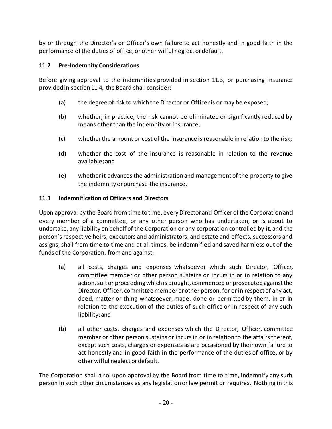by or through the Director's or Officer's own failure to act honestly and in good faith in the performance of the duties of office, or other wilful neglect or default.

# <span id="page-26-0"></span>**11.2 Pre-Indemnity Considerations**

Before giving approval to the indemnities provided in section [11.3,](#page-26-1) or purchasing insurance provided in sectio[n 11.4,](#page-27-0) the Board shall consider:

- (a) the degree of risk to which the Director or Officer is or may be exposed;
- (b) whether, in practice, the risk cannot be eliminated or significantly reduced by means other than the indemnity or insurance;
- (c) whether the amount or cost of the insurance is reasonable in relation to the risk;
- (d) whether the cost of the insurance is reasonable in relation to the revenue available; and
- (e) whether it advances the administration and management of the property to give the indemnity or purchase the insurance.

### <span id="page-26-1"></span>**11.3 Indemnification of Officers and Directors**

Upon approval by the Board from time to time, every Director and Officer of the Corporation and every member of a committee, or any other person who has undertaken, or is about to undertake, any liability on behalf of the Corporation or any corporation controlled by it, and the person's respective heirs, executors and administrators, and estate and effects, successors and assigns, shall from time to time and at all times, be indemnified and saved harmless out of the funds of the Corporation, from and against:

- (a) all costs, charges and expenses whatsoever which such Director, Officer, committee member or other person sustains or incurs in or in relation to any action, suit or proceeding which is brought, commenced or prosecuted against the Director, Officer, committee member or other person, for or in respect of any act, deed, matter or thing whatsoever, made, done or permitted by them, in or in relation to the execution of the duties of such office or in respect of any such liability; and
- (b) all other costs, charges and expenses which the Director, Officer, committee member or other person sustains or incurs in or in relation to the affairs thereof, except such costs, charges or expenses as are occasioned by their own failure to act honestly and in good faith in the performance of the duties of office, or by other wilful neglect or default.

The Corporation shall also, upon approval by the Board from time to time, indemnify any such person in such other circumstances as any legislation or law permit or requires. Nothing in this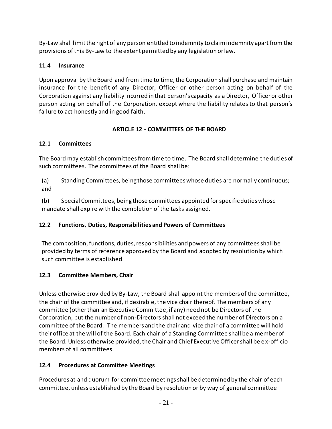By-Law shall limit the right of any person entitled to indemnity to claim indemnity apart from the provisions of this By-Law to the extent permitted by any legislation or law.

# <span id="page-27-0"></span>**11.4 Insurance**

Upon approval by the Board and from time to time, the Corporation shall purchase and maintain insurance for the benefit of any Director, Officer or other person acting on behalf of the Corporation against any liability incurred in that person's capacity as a Director, Officer or other person acting on behalf of the Corporation, except where the liability relates to that person's failure to act honestly and in good faith.

# **ARTICLE 12 - COMMITTEES OF THE BOARD**

# <span id="page-27-2"></span><span id="page-27-1"></span>**12.1 Committees**

The Board may establish committees from time to time. The Board shall determine the duties of such committees. The committees of the Board shall be:

(a) Standing Committees, being those committees whose duties are normally continuous; and

(b) Special Committees, being those committees appointed for specific duties whose mandate shall expire with the completion of the tasks assigned.

# <span id="page-27-3"></span>**12.2 Functions, Duties, Responsibilities and Powers of Committees**

The composition, functions, duties, responsibilities and powers of any committees shall be provided by terms of reference approved by the Board and adopted by resolution by which such committee is established.

# <span id="page-27-4"></span>**12.3 Committee Members, Chair**

Unless otherwise provided by By-Law, the Board shall appoint the members of the committee, the chair of the committee and, if desirable, the vice chair thereof. The members of any committee (otherthan an Executive Committee, if any) need not be Directors of the Corporation, but the number of non-Directors shall not exceed the number of Directors on a committee of the Board. The members and the chair and vice chair of a committee will hold their office at the will of the Board. Each chair of a Standing Committee shall be a member of the Board. Unless otherwise provided, the Chair and Chief Executive Officer shall be e x-officio members of all committees.

# <span id="page-27-5"></span>**12.4 Procedures at Committee Meetings**

Procedures at and quorum for committee meetings shall be determined by the chair of each committee, unless established by the Board by resolution or by way of general committee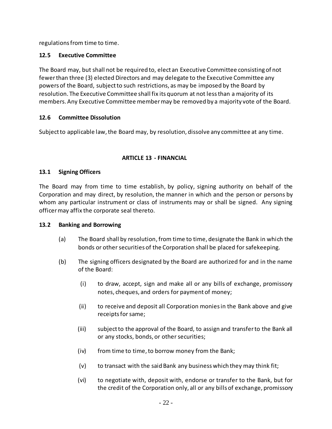regulations from time to time.

## <span id="page-28-0"></span>**12.5 Executive Committee**

The Board may, but shall not be required to, elect an Executive Committee consisting of not fewer than three (3) elected Directors and may delegate to the Executive Committee any powers of the Board, subject to such restrictions, as may be imposed by the Board by resolution. The Executive Committee shall fix its quorum at not less than a majority of its members. Any Executive Committee member may be removed by a majority vote of the Board.

# <span id="page-28-1"></span>**12.6 Committee Dissolution**

Subject to applicable law, the Board may, by resolution, dissolve any committee at any time.

## **ARTICLE 13 - FINANCIAL**

## <span id="page-28-3"></span><span id="page-28-2"></span>**13.1 Signing Officers**

The Board may from time to time establish, by policy, signing authority on behalf of the Corporation and may direct, by resolution, the manner in which and the person or persons by whom any particular instrument or class of instruments may or shall be signed. Any signing officer may affix the corporate seal thereto.

### <span id="page-28-5"></span><span id="page-28-4"></span>**13.2 Banking and Borrowing**

- (a) The Board shall by resolution,from time to time, designate the Bank in which the bonds or other securities of the Corporation shall be placed for safekeeping.
- (b) The signing officers designated by the Board are authorized for and in the name of the Board:
	- (i) to draw, accept, sign and make all or any bills of exchange, promissory notes, cheques, and orders for payment of money;
	- (ii) to receive and deposit all Corporation monies in the Bank above and give receipts for same;
	- (iii) subject to the approval of the Board, to assign and transfer to the Bank all or any stocks, bonds, or other securities;
	- (iv) from time to time, to borrow money from the Bank;
	- (v) to transact with the said Bank any business which they may think fit;
	- (vi) to negotiate with, deposit with, endorse or transfer to the Bank, but for the credit of the Corporation only, all or any bills of exchange, promissory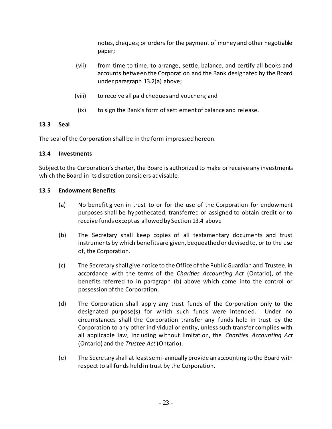notes, cheques; or orders for the payment of money and other negotiable paper;

- (vii) from time to time, to arrange, settle, balance, and certify all books and accounts between the Corporation and the Bank designated by the Board under paragraph [13.2\(a\)](#page-28-5) above;
- (viii) to receive all paid cheques and vouchers; and
- (ix) to sign the Bank's form of settlement of balance and release.

### <span id="page-29-0"></span>**13.3 Seal**

The seal of the Corporation shall be in the form impressed hereon.

## <span id="page-29-1"></span>**13.4 Investments**

Subject to the Corporation's charter, the Board is authorized to make or receive any investments which the Board in its discretion considers advisable.

### <span id="page-29-2"></span>**13.5 Endowment Benefits**

- (a) No benefit given in trust to or for the use of the Corporation for endowment purposes shall be hypothecated, transferred or assigned to obtain credit or to receive funds except as allowed by Section 13.4 above
- (b) The Secretary shall keep copies of all testamentary documents and trust instruments by which benefits are given, bequeathed or devised to, or to the use of, the Corporation.
- (c) The Secretary shall give notice to the Office of the Public Guardian and Trustee, in accordance with the terms of the *Charities Accounting Act* (Ontario), of the benefits referred to in paragraph (b) above which come into the control or possession of the Corporation.
- (d) The Corporation shall apply any trust funds of the Corporation only to the designated purpose(s) for which such funds were intended. Under no circumstances shall the Corporation transfer any funds held in trust by the Corporation to any other individual or entity, unless such transfer complies with all applicable law, including without limitation, the *Charities Accounting Act*  (Ontario) and the *Trustee Act* (Ontario).
- (e) The Secretary shall at least semi-annually provide an accounting to the Board with respect to all funds held in trust by the Corporation.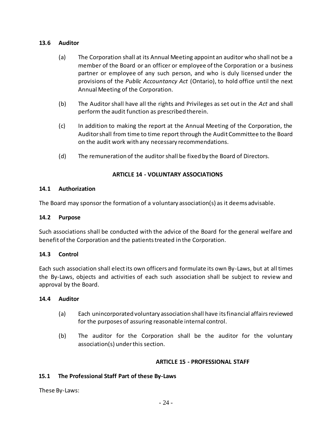#### <span id="page-30-0"></span>**13.6 Auditor**

- (a) The Corporation shall at its Annual Meeting appoint an auditor who shall not be a member of the Board or an officer or employee of the Corporation or a business partner or employee of any such person, and who is duly licensed under the provisions of the *Public Accountancy Act* (Ontario), to hold office until the next Annual Meeting of the Corporation.
- (b) The Auditor shall have all the rights and Privileges as set out in the *Act* and shall perform the audit function as prescribed therein.
- (c) In addition to making the report at the Annual Meeting of the Corporation, the Auditor shall from time to time report through the Audit Committee to the Board on the audit work with any necessary recommendations.
- (d) The remuneration of the auditor shall be fixed by the Board of Directors.

## **ARTICLE 14 - VOLUNTARY ASSOCIATIONS**

### <span id="page-30-2"></span><span id="page-30-1"></span>**14.1 Authorization**

The Board may sponsor the formation of a voluntary association(s) as it deems advisable.

#### <span id="page-30-3"></span>**14.2 Purpose**

Such associations shall be conducted with the advice of the Board for the general welfare and benefit of the Corporation and the patients treated in the Corporation.

### <span id="page-30-4"></span>**14.3 Control**

Each such association shall elect its own officers and formulate its own By-Laws, but at all times the By-Laws, objects and activities of each such association shall be subject to review and approval by the Board.

### <span id="page-30-5"></span>**14.4 Auditor**

- (a) Each unincorporated voluntary association shall have its financial affairs reviewed for the purposes of assuring reasonable internal control.
- (b) The auditor for the Corporation shall be the auditor for the voluntary association(s) under this section.

#### **ARTICLE 15 - PROFESSIONAL STAFF**

### <span id="page-30-7"></span><span id="page-30-6"></span>**15.1 The Professional Staff Part of these By-Laws**

These By-Laws: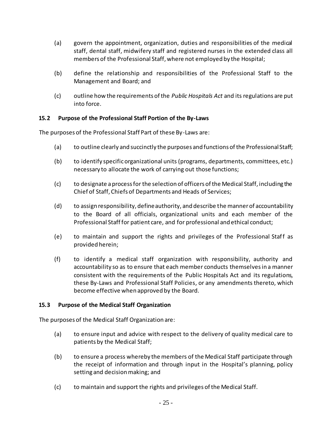- (a) govern the appointment, organization, duties and responsibilities of the medical staff, dental staff, midwifery staff and registered nurses in the extended class all members of the Professional Staff, where not employed by the Hospital;
- (b) define the relationship and responsibilities of the Professional Staff to the Management and Board; and
- (c) outline how the requirements of the *Public Hospitals Act* and its regulations are put into force.

## <span id="page-31-0"></span>**15.2 Purpose of the Professional Staff Portion of the By-Laws**

The purposes of the Professional Staff Part of these By-Laws are:

- (a) to outline clearly and succinctly the purposes and functions of the Professional Staff;
- (b) to identify specific organizational units (programs, departments, committees, etc.) necessary to allocate the work of carrying out those functions;
- (c) to designate a process for the selection of officers of the Medical Staff, including the Chief of Staff, Chiefs of Departments and Heads of Services;
- (d) to assign responsibility, define authority, and describe the manner of accountability to the Board of all officials, organizational units and each member of the Professional Staff for patient care, and for professional and ethical conduct;
- (e) to maintain and support the rights and privileges of the Professional Staff as provided herein;
- (f) to identify a medical staff organization with responsibility, authority and accountability so as to ensure that each member conducts themselves in a manner consistent with the requirements of the Public Hospitals Act and its regulations, these By-Laws and Professional Staff Policies, or any amendments thereto, which become effective when approved by the Board.

### <span id="page-31-1"></span>**15.3 Purpose of the Medical Staff Organization**

The purposes of the Medical Staff Organization are:

- (a) to ensure input and advice with respect to the delivery of quality medical care to patients by the Medical Staff;
- (b) to ensure a process whereby the members of the Medical Staff participate through the receipt of information and through input in the Hospital's planning, policy setting and decision making; and
- (c) to maintain and support the rights and privileges of the Medical Staff.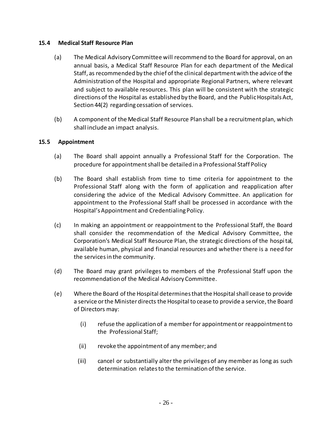### <span id="page-32-0"></span>**15.4 Medical Staff Resource Plan**

- (a) The Medical Advisory Committee will recommend to the Board for approval, on an annual basis, a Medical Staff Resource Plan for each department of the Medical Staff, as recommended by the chief of the clinical department with the advice of the Administration of the Hospital and appropriate Regional Partners, where relevant and subject to available resources. This plan will be consistent with the strategic directions of the Hospital as established by the Board, and the Public Hospitals Act, Section 44(2) regarding cessation of services.
- (b) A component of the Medical Staff Resource Plan shall be a recruitment plan, which shall include an impact analysis.

# <span id="page-32-1"></span>**15.5 Appointment**

- (a) The Board shall appoint annually a Professional Staff for the Corporation. The procedure for appointment shall be detailed in a Professional Staff Policy
- (b) The Board shall establish from time to time criteria for appointment to the Professional Staff along with the form of application and reapplication after considering the advice of the Medical Advisory Committee. An application for appointment to the Professional Staff shall be processed in accordance with the Hospital's Appointment and Credentialing Policy.
- (c) In making an appointment or reappointment to the Professional Staff, the Board shall consider the recommendation of the Medical Advisory Committee, the Corporation's Medical Staff Resource Plan, the strategic directions of the hospital, available human, physical and financial resources and whether there is a need for the services in the community.
- (d) The Board may grant privileges to members of the Professional Staff upon the recommendation of the Medical Advisory Committee.
- (e) Where the Board of the Hospital determines that the Hospital shall cease to provide a service or the Minister directs the Hospital to cease to provide a service, the Board of Directors may:
	- (i) refuse the application of a member for appointment or reappointment to the Professional Staff;
	- (ii) revoke the appointment of any member; and
	- (iii) cancel or substantially alter the privileges of any member as long as such determination relates to the termination of the service.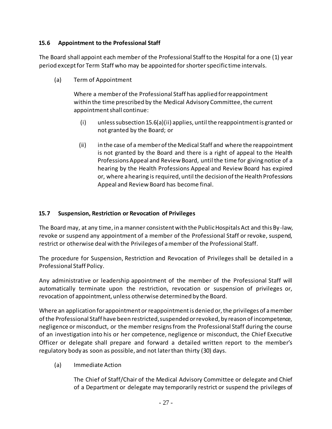## <span id="page-33-0"></span>**15.6 Appointment to the Professional Staff**

The Board shall appoint each member of the Professional Staff to the Hospital for a one (1) year period except for Term Staff who may be appointed for shorter specific time intervals.

(a) Term of Appointment

Where a member of the Professional Staff has applied for reappointment within the time prescribed by the Medical Advisory Committee, the current appointment shall continue:

- (i) unless subsection 15.6(a)(ii) applies, until the reappointment is granted or not granted by the Board; or
- (ii) in the case of a member of the Medical Staff and where the reappointment is not granted by the Board and there is a right of appeal to the Health Professions Appeal and Review Board, until the time for giving notice of a hearing by the Health Professions Appeal and Review Board has expired or, where a hearing is required, until the decision of the Health Professions Appeal and Review Board has become final.

### <span id="page-33-1"></span>**15.7 Suspension, Restriction or Revocation of Privileges**

The Board may, at any time, in a manner consistent with the Public Hospitals Act and this By-law, revoke or suspend any appointment of a member of the Professional Staff or revoke, suspend, restrict or otherwise deal with the Privileges of a member of the Professional Staff.

The procedure for Suspension, Restriction and Revocation of Privileges shall be detailed in a Professional Staff Policy.

Any administrative or leadership appointment of the member of the Professional Staff will automatically terminate upon the restriction, revocation or suspension of privileges or, revocation of appointment, unless otherwise determined by the Board.

Where an application for appointment or reappointment is denied or, the privileges of a member of the Professional Staff have been restricted, suspended or revoked, by reason of incompetence, negligence or misconduct, or the member resigns from the Professional Staff during the course of an investigation into his or her competence, negligence or misconduct, the Chief Executive Officer or delegate shall prepare and forward a detailed written report to the member's regulatory body as soon as possible, and not later than thirty (30) days.

(a) Immediate Action

The Chief of Staff/Chair of the Medical Advisory Committee or delegate and Chief of a Department or delegate may temporarily restrict or suspend the privileges of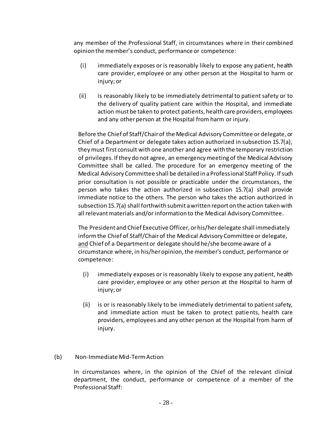any member of the Professional Staff, in circumstances where in their combined opinion the member's conduct, performance or competence:

- (i) immediately exposes or is reasonably likely to expose any patient, health care provider, employee or any other person at the Hospital to harm or injury; or
- (ii) is reasonably likely to be immediately detrimental to patient safety or to the delivery of quality patient care within the Hospital, and immediate action must be taken to protect patients, health care providers, employees and any other person at the Hospital from harm or injury.

Before the Chief of Staff/Chair of the Medical Advisory Committee or delegate, or Chief of a Department or delegate takes action authorized in subsection 15.7(a), they must first consult with one another and agree with the temporary restriction of privileges. If they do not agree, an emergency meeting of the Medical Advisory Committee shall be called. The procedure for an emergency meeting of the Medical Advisory Committee shall be detailed in a Professional Staff Policy. If such prior consultation is not possible or practicable under the circumstances, the person who takes the action authorized in subsection 15.7(a) shall provide immediate notice to the others. The person who takes the action authorized in subsection 15.7(a) shall forthwith submit a written report on the action taken with all relevant materials and/or information to the Medical Advisory Committee.

The President and Chief Executive Officer, or his/her delegate shall immediately inform the Chief of Staff/Chair of the Medical Advisory Committee or delegate, and Chief of a Department or delegate should he/she become aware of a circumstance where, in his/her opinion, the member's conduct, performance or competence:

- (i) immediately exposes or is reasonably likely to expose any patient, health care provider, employee or any other person at the Hospital to harm of injury; or
- (ii) is or is reasonably likely to be immediately detrimental to patient safety, and immediate action must be taken to protect patients, health care providers, employees and any other person at the Hospital from harm of injury.

# (b) Non-Immediate Mid-Term Action

In circumstances where, in the opinion of the Chief of the relevant clinical department, the conduct, performance or competence of a member of the Professional Staff: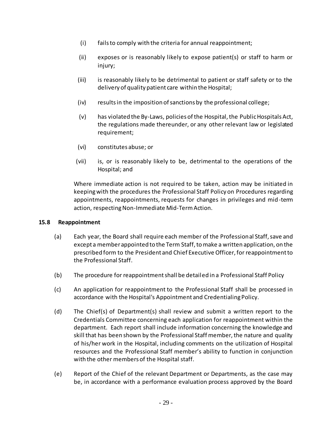- (i) fails to comply with the criteria for annual reappointment;
- (ii) exposes or is reasonably likely to expose patient(s) or staff to harm or injury;
- (iii) is reasonably likely to be detrimental to patient or staff safety or to the delivery of quality patient care within the Hospital;
- (iv) results in the imposition of sanctions by the professional college;
- (v) has violated the By-Laws, policies of the Hospital, the Public Hospitals Act, the regulations made thereunder, or any other relevant law or legislated requirement;
- (vi) constitutes abuse; or
- (vii) is, or is reasonably likely to be, detrimental to the operations of the Hospital; and

Where immediate action is not required to be taken, action may be initiated in keeping with the procedures the Professional Staff Policy on Procedures regarding appointments, reappointments, requests for changes in privileges and mid-term action, respecting Non-Immediate Mid-Term Action.

### <span id="page-35-0"></span>**15.8 Reappointment**

- (a) Each year, the Board shall require each member of the Professional Staff, save and except a member appointed to the Term Staff, to make a written application, on the prescribed form to the President and Chief Executive Officer, for reappointment to the Professional Staff.
- (b) The procedure for reappointment shall be detailed in a Professional Staff Policy
- (c) An application for reappointment to the Professional Staff shall be processed in accordance with the Hospital's Appointment and Credentialing Policy.
- (d) The Chief(s) of Department(s) shall review and submit a written report to the Credentials Committee concerning each application for reappointment within the department. Each report shall include information concerning the knowledge and skill that has been shown by the Professional Staff member, the nature and quality of his/her work in the Hospital, including comments on the utilization of Hospital resources and the Professional Staff member's ability to function in conjunction with the other members of the Hospital staff.
- (e) Report of the Chief of the relevant Department or Departments, as the case may be, in accordance with a performance evaluation process approved by the Board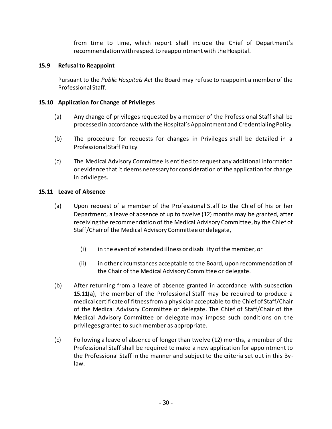from time to time, which report shall include the Chief of Department's recommendation with respect to reappointment with the Hospital.

## <span id="page-36-0"></span>**15.9 Refusal to Reappoint**

Pursuant to the *Public Hospitals Act* the Board may refuse to reappoint a member of the Professional Staff.

## <span id="page-36-1"></span>**15.10 Application for Change of Privileges**

- (a) Any change of privileges requested by a member of the Professional Staff shall be processed in accordance with the Hospital's Appointment and Credentialing Policy.
- (b) The procedure for requests for changes in Privileges shall be detailed in a Professional Staff Policy
- (c) The Medical Advisory Committee is entitled to request any additional information or evidence that it deems necessary for consideration of the application for change in privileges.

## <span id="page-36-2"></span>**15.11 Leave of Absence**

- (a) Upon request of a member of the Professional Staff to the Chief of his or her Department, a leave of absence of up to twelve (12) months may be granted, after receiving the recommendation of the Medical Advisory Committee, by the Chief of Staff/Chair of the Medical Advisory Committee or delegate,
	- (i) in the event of extended illness or disability of the member, or
	- (ii) in other circumstances acceptable to the Board, upon recommendation of the Chair of the Medical Advisory Committee or delegate.
- (b) After returning from a leave of absence granted in accordance with subsection 15.11(a), the member of the Professional Staff may be required to produce a medical certificate of fitness from a physician acceptable to the Chief of Staff/Chair of the Medical Advisory Committee or delegate. The Chief of Staff/Chair of the Medical Advisory Committee or delegate may impose such conditions on the privileges granted to such member as appropriate.
- (c) Following a leave of absence of longer than twelve (12) months, a member of the Professional Staff shall be required to make a new application for appointment to the Professional Staff in the manner and subject to the criteria set out in this Bylaw.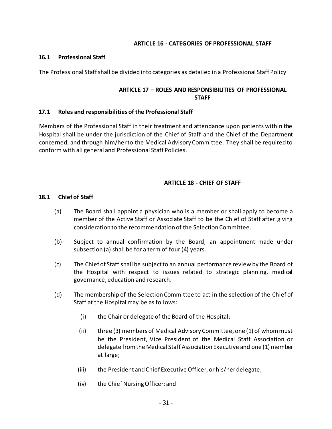#### **ARTICLE 16 - CATEGORIES OF PROFESSIONAL STAFF**

#### <span id="page-37-1"></span><span id="page-37-0"></span>**16.1 Professional Staff**

<span id="page-37-2"></span>The Professional Staff shall be divided into categories as detailed in a Professional Staff Policy

### **ARTICLE 17 – ROLES AND RESPONSIBILITIES OF PROFESSIONAL STAFF**

#### <span id="page-37-3"></span>**17.1 Roles and responsibilities of the Professional Staff**

Members of the Professional Staff in their treatment and attendance upon patients within the Hospital shall be under the jurisdiction of the Chief of Staff and the Chief of the Department concerned, and through him/her to the Medical Advisory Committee. They shall be required to conform with all general and Professional Staff Policies.

#### **ARTICLE 18 - CHIEF OF STAFF**

#### <span id="page-37-5"></span><span id="page-37-4"></span>**18.1 Chief of Staff**

- (a) The Board shall appoint a physician who is a member or shall apply to become a member of the Active Staff or Associate Staff to be the Chief of Staff after giving consideration to the recommendation of the Selection Committee.
- (b) Subject to annual confirmation by the Board, an appointment made under subsection (a) shall be for a term of four (4) years.
- (c) The Chief of Staff shall be subject to an annual performance review by the Board of the Hospital with respect to issues related to strategic planning, medical governance, education and research.
- (d) The membership of the Selection Committee to act in the selection of the Chief of Staff at the Hospital may be as follows:
	- (i) the Chair or delegate of the Board of the Hospital;
	- (ii) three (3) members of Medical Advisory Committee, one (1) of whom must be the President, Vice President of the Medical Staff Association or delegate from the Medical Staff Association Executive and one (1) member at large;
	- (iii) the President and Chief Executive Officer, or his/her delegate;
	- (iv) the Chief Nursing Officer; and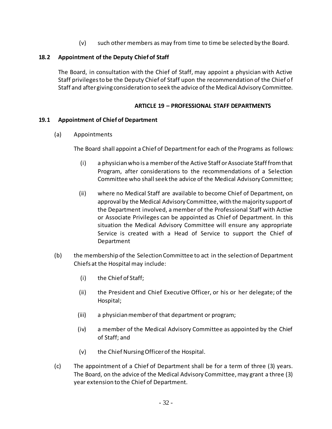(v) such other members as may from time to time be selected by the Board.

### <span id="page-38-0"></span>**18.2 Appointment of the Deputy Chief of Staff**

The Board, in consultation with the Chief of Staff, may appoint a physician with Active Staff privileges to be the Deputy Chief of Staff upon the recommendation of the Chief of Staff and after giving consideration to seek the advice of the Medical Advisory Committee.

### **ARTICLE 19 – PROFESSIONAL STAFF DEPARTMENTS**

#### <span id="page-38-2"></span><span id="page-38-1"></span>**19.1 Appointment of Chief of Department**

(a) Appointments

The Board shall appoint a Chief of Department for each of the Programs as follows:

- (i) a physician who is a member of the Active Staff or Associate Staff from that Program, after considerations to the recommendations of a Selection Committee who shall seek the advice of the Medical Advisory Committee;
- (ii) where no Medical Staff are available to become Chief of Department, on approval by the Medical Advisory Committee, with the majority support of the Department involved, a member of the Professional Staff with Active or Associate Privileges can be appointed as Chief of Department. In this situation the Medical Advisory Committee will ensure any appropriate Service is created with a Head of Service to support the Chief of Department
- (b) the membership of the Selection Committee to act in the selection of Department Chiefs at the Hospital may include:
	- (i) the Chief of Staff;
	- (ii) the President and Chief Executive Officer, or his or her delegate; of the Hospital;
	- (iii) a physician member of that department or program;
	- (iv) a member of the Medical Advisory Committee as appointed by the Chief of Staff; and
	- (v) the Chief Nursing Officer of the Hospital.
- (c) The appointment of a Chief of Department shall be for a term of three (3) years. The Board, on the advice of the Medical Advisory Committee, may grant a three (3) year extension to the Chief of Department.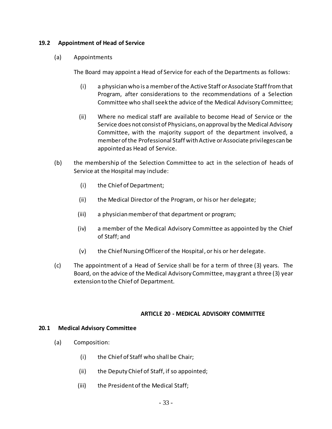#### <span id="page-39-0"></span>**19.2 Appointment of Head of Service**

(a) Appointments

The Board may appoint a Head of Service for each of the Departments as follows:

- (i) a physician who is a member of the Active Staff or Associate Staff from that Program, after considerations to the recommendations of a Selection Committee who shall seek the advice of the Medical Advisory Committee;
- (ii) Where no medical staff are available to become Head of Service or the Service does not consist of Physicians, on approval by the Medical Advisory Committee, with the majority support of the department involved, a member of the Professional Staff with Active or Associate privileges can be appointed as Head of Service.
- (b) the membership of the Selection Committee to act in the selection of heads of Service at the Hospital may include:
	- (i) the Chief of Department;
	- (ii) the Medical Director of the Program, or his or her delegate;
	- (iii) a physician member of that department or program;
	- (iv) a member of the Medical Advisory Committee as appointed by the Chief of Staff; and
	- (v) the Chief Nursing Officer of the Hospital, or his or her delegate.
- (c) The appointment of a Head of Service shall be for a term of three (3) years. The Board, on the advice of the Medical Advisory Committee, may grant a three (3) year extension to the Chief of Department.

#### **ARTICLE 20 - MEDICAL ADVISORY COMMITTEE**

#### <span id="page-39-2"></span><span id="page-39-1"></span>**20.1 Medical Advisory Committee**

- (a) Composition:
	- (i) the Chief of Staff who shall be Chair;
	- (ii) the Deputy Chief of Staff, if so appointed;
	- (iii) the President of the Medical Staff;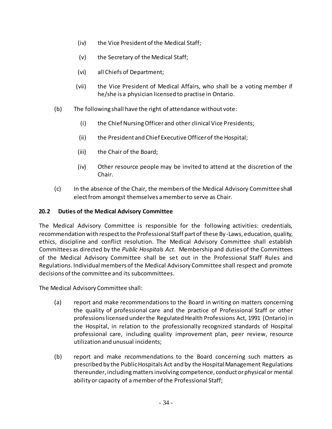- (iv) the Vice President of the Medical Staff;
- (v) the Secretary of the Medical Staff;
- (vi) all Chiefs of Department;
- (vii) the Vice President of Medical Affairs, who shall be a voting member if he/she is a physician licensed to practise in Ontario.
- (b) The following shall have the right of attendance without vote:
	- (i) the Chief Nursing Officer and other clinical Vice Presidents;
	- (ii) the President and Chief Executive Officer of the Hospital;
	- (iii) the Chair of the Board;
	- (iv) Other resource people may be invited to attend at the discretion of the Chair.
- (c) In the absence of the Chair, the members of the Medical Advisory Committee shall elect from amongst themselves a member to serve as Chair.

### <span id="page-40-0"></span>**20.2 Duties of the Medical Advisory Committee**

The Medical Advisory Committee is responsible for the following activities: credentials, recommendation with respect to the Professional Staff part of these By-Laws, education, quality, ethics, discipline and conflict resolution. The Medical Advisory Committee shall establish Committees as directed by the *Public Hospitals Act*. Membership and duties of the Committees of the Medical Advisory Committee shall be set out in the Professional Staff Rules and Regulations. Individual members of the Medical Advisory Committee shall respect and promote decisions of the committee and its subcommittees.

The Medical Advisory Committee shall:

- (a) report and make recommendations to the Board in writing on matters concerning the quality of professional care and the practice of Professional Staff or other professions licensed under the Regulated Health Professions Act, 1991 (Ontario) in the Hospital, in relation to the professionally recognized standards of Hospital professional care, including quality improvement plan, peer review, resource utilization and unusual incidents;
- (b) report and make recommendations to the Board concerning such matters as prescribed by the Public Hospitals Act and by the Hospital Management Regulations thereunder, including matters involving competence, conduct or physical or mental ability or capacity of a member of the Professional Staff;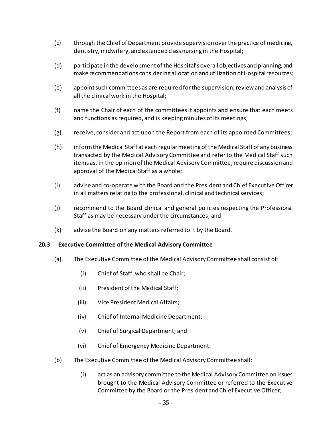- (c) through the Chief of Department provide supervision over the practice of medicine, dentistry, midwifery, and extended class nursing in the Hospital;
- (d) participate in the development of the Hospital's overall objectives and planning, and make recommendations considering allocation and utilization of Hospital resources;
- (e) appoint such committees as are required for the supervision, review and analysis of all the clinical work in the Hospital;
- (f) name the Chair of each of the committees it appoints and ensure that each meets and functions as required, and is keeping minutes of its meetings;
- (g) receive, consider and act upon the Report from each of its appointed Committees;
- (h) inform the Medical Staff at each regular meeting of the Medical Staff of any business transacted by the Medical Advisory Committee and refer to the Medical Staff such items as, in the opinion of the Medical Advisory Committee, require discussion and approval of the Medical Staff as a whole;
- (i) advise and co-operate with the Board and the President and Chief Executive Officer in all matters relating to the professional, clinical and technical services;
- (j) recommend to the Board clinical and general policies respecting the Professional Staff as may be necessary under the circumstances; and
- (k) advise the Board on any matters referred to it by the Board.

### <span id="page-41-0"></span>**20.3 Executive Committee of the Medical Advisory Committee**

- (a) The Executive Committee of the Medical Advisory Committee shall consist of:
	- (i) Chief of Staff, who shall be Chair;
	- (ii) President of the Medical Staff;
	- (iii) Vice President Medical Affairs;
	- (iv) Chief of Internal Medicine Department;
	- (v) Chief of Surgical Department; and
	- (vi) Chief of Emergency Medicine Department.
- (b) The Executive Committee of the Medical Advisory Committee shall:
	- (i) act as an advisory committee to the Medical Advisory Committee on issues brought to the Medical Advisory Committee or referred to the Executive Committee by the Board or the President and Chief Executive Officer;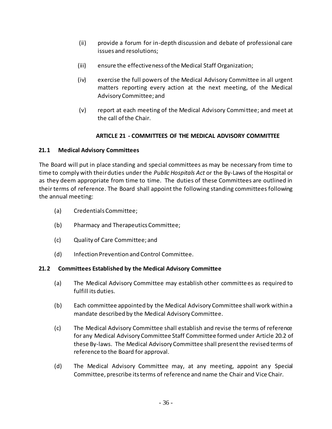- (ii) provide a forum for in-depth discussion and debate of professional care issues and resolutions;
- (iii) ensure the effectiveness of the Medical Staff Organization;
- (iv) exercise the full powers of the Medical Advisory Committee in all urgent matters reporting every action at the next meeting, of the Medical Advisory Committee; and
- (v) report at each meeting of the Medical Advisory Committee; and meet at the call of the Chair.

# **ARTICLE 21 - COMMITTEES OF THE MEDICAL ADVISORY COMMITTEE**

## <span id="page-42-1"></span><span id="page-42-0"></span>**21.1 Medical Advisory Committees**

The Board will put in place standing and special committees as may be necessary from time to time to comply with their duties under the *Public Hospitals Act* or the By-Laws of the Hospital or as they deem appropriate from time to time. The duties of these Committees are outlined in their terms of reference. The Board shall appoint the following standing committees following the annual meeting:

- (a) Credentials Committee;
- (b) Pharmacy and Therapeutics Committee;
- (c) Quality of Care Committee; and
- (d) Infection Prevention and Control Committee.

### <span id="page-42-2"></span>**21.2 Committees Established by the Medical Advisory Committee**

- (a) The Medical Advisory Committee may establish other committees as required to fulfill its duties.
- (b) Each committee appointed by the Medical Advisory Committee shall work within a mandate described by the Medical Advisory Committee.
- (c) The Medical Advisory Committee shall establish and revise the terms of reference for any Medical Advisory Committee Staff Committee formed under Article 20.2 of these By-laws. The Medical Advisory Committee shall present the revised terms of reference to the Board for approval.
- (d) The Medical Advisory Committee may, at any meeting, appoint any Special Committee, prescribe its terms of reference and name the Chair and Vice Chair.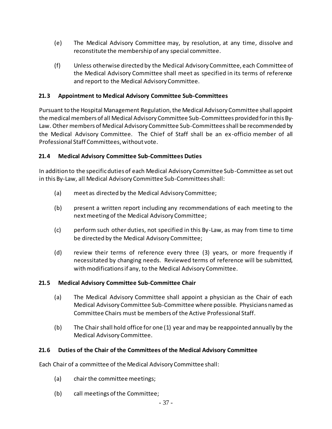- (e) The Medical Advisory Committee may, by resolution, at any time, dissolve and reconstitute the membership of any special committee.
- (f) Unless otherwise directed by the Medical Advisory Committee, each Committee of the Medical Advisory Committee shall meet as specified in its terms of reference and report to the Medical Advisory Committee.

## <span id="page-43-0"></span>**21.3 Appointment to Medical Advisory Committee Sub-Committees**

Pursuant to the Hospital Management Regulation, the Medical Advisory Committee shall appoint the medical members of all Medical Advisory Committee Sub-Committees provided for in this By-Law. Other members of Medical Advisory Committee Sub-Committees shall be recommended by the Medical Advisory Committee. The Chief of Staff shall be an ex-officio member of all Professional Staff Committees, without vote.

### <span id="page-43-1"></span>**21.4 Medical Advisory Committee Sub-Committees Duties**

In addition to the specific duties of each Medical Advisory Committee Sub-Committee as set out in this By-Law, all Medical Advisory Committee Sub-Committees shall:

- (a) meet as directed by the Medical Advisory Committee;
- (b) present a written report including any recommendations of each meeting to the next meeting of the Medical Advisory Committee;
- (c) perform such other duties, not specified in this By-Law, as may from time to time be directed by the Medical Advisory Committee;
- (d) review their terms of reference every three (3) years, or more frequently if necessitated by changing needs. Reviewed terms of reference will be submitted, with modifications if any, to the Medical Advisory Committee.

### <span id="page-43-2"></span>**21.5 Medical Advisory Committee Sub-Committee Chair**

- (a) The Medical Advisory Committee shall appoint a physician as the Chair of each Medical Advisory Committee Sub-Committee where possible. Physicians named as Committee Chairs must be members of the Active Professional Staff.
- (b) The Chair shall hold office for one (1) year and may be reappointed annually by the Medical Advisory Committee.

### <span id="page-43-3"></span>**21.6 Duties of the Chair of the Committees of the Medical Advisory Committee**

Each Chair of a committee of the Medical Advisory Committee shall:

- (a) chair the committee meetings;
- (b) call meetings of the Committee;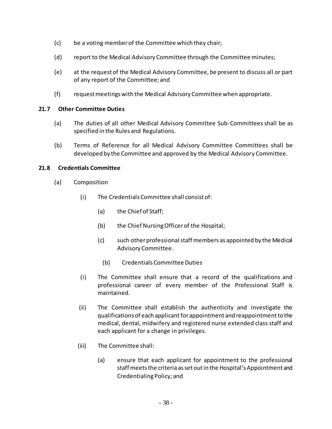- (c) be a voting member of the Committee which they chair;
- (d) report to the Medical Advisory Committee through the Committee minutes;
- (e) at the request of the Medical Advisory Committee, be present to discuss all or part of any report of the Committee; and
- (f) request meetings with the Medical Advisory Committee when appropriate.

### <span id="page-44-0"></span>**21.7 Other Committee Duties**

- (a) The duties of all other Medical Advisory Committee Sub-Committees shall be as specified in the Rules and Regulations.
- (b) Terms of Reference for all Medical Advisory Committee Committees shall be developed by the Committee and approved by the Medical Advisory Committee.

## <span id="page-44-1"></span>**21.8 Credentials Committee**

- (a) Composition
	- (i) The Credentials Committee shall consist of:
		- (a) the Chief of Staff;
		- (b) the Chief Nursing Officer of the Hospital;
		- (c) such other professional staff members as appointed by the Medical Advisory Committee.
			- (b) Credentials Committee Duties
	- (i) The Committee shall ensure that a record of the qualifications and professional career of every member of the Professional Staff is maintained.
	- (ii) The Committee shall establish the authenticity and investigate the qualifications of each applicant for appointment and reappointment to the medical, dental, midwifery and registered nurse extended class staff and each applicant for a change in privileges.
	- (iii) The Committee shall:
		- (a) ensure that each applicant for appointment to the professional staff meets the criteria as set out in the Hospital's Appointment and Credentialing Policy; and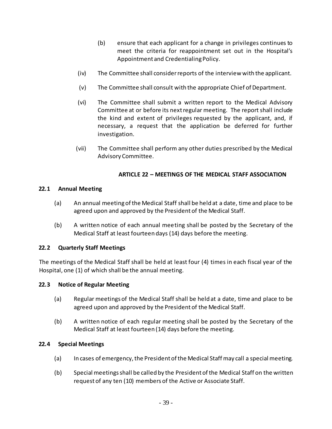- (b) ensure that each applicant for a change in privileges continues to meet the criteria for reappointment set out in the Hospital's Appointment and Credentialing Policy.
- (iv) The Committee shall consider reports of the interview with the applicant.
- (v) The Committee shall consult with the appropriate Chief of Department.
- (vi) The Committee shall submit a written report to the Medical Advisory Committee at or before its next regular meeting. The report shall include the kind and extent of privileges requested by the applicant, and, if necessary, a request that the application be deferred for further investigation.
- (vii) The Committee shall perform any other duties prescribed by the Medical Advisory Committee.

### **ARTICLE 22 – MEETINGS OF THE MEDICAL STAFF ASSOCIATION**

#### <span id="page-45-1"></span><span id="page-45-0"></span>**22.1 Annual Meeting**

- (a) An annual meeting of the Medical Staff shall be held at a date, time and place to be agreed upon and approved by the President of the Medical Staff.
- (b) A written notice of each annual meeting shall be posted by the Secretary of the Medical Staff at least fourteen days (14) days before the meeting.

### <span id="page-45-2"></span>**22.2 Quarterly Staff Meetings**

The meetings of the Medical Staff shall be held at least four (4) times in each fiscal year of the Hospital, one (1) of which shall be the annual meeting.

#### <span id="page-45-3"></span>**22.3 Notice of Regular Meeting**

- (a) Regular meetings of the Medical Staff shall be held at a date, time and place to be agreed upon and approved by the President of the Medical Staff.
- (b) A written notice of each regular meeting shall be posted by the Secretary of the Medical Staff at least fourteen (14) days before the meeting.

#### <span id="page-45-4"></span>**22.4 Special Meetings**

- (a) In cases of emergency, the President of the Medical Staff may call a special meeting.
- (b) Special meetings shall be called by the President of the Medical Staff on the written request of any ten (10) members of the Active or Associate Staff.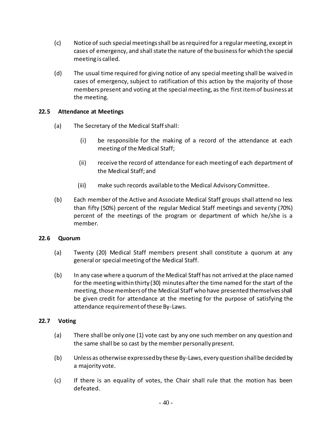- (c) Notice of such special meetings shall be as required for a regular meeting, except in cases of emergency, and shall state the nature of the business for which the special meeting is called.
- (d) The usual time required for giving notice of any special meeting shall be waived in cases of emergency, subject to ratification of this action by the majority of those members present and voting at the special meeting, as the first item of business at the meeting.

#### <span id="page-46-0"></span>**22.5 Attendance at Meetings**

- (a) The Secretary of the Medical Staff shall:
	- (i) be responsible for the making of a record of the attendance at each meeting of the Medical Staff;
	- (ii) receive the record of attendance for each meeting of each department of the Medical Staff; and
	- (iii) make such records available to the Medical Advisory Committee.
- (b) Each member of the Active and Associate Medical Staff groups shall attend no less than fifty (50%) percent of the regular Medical Staff meetings and seventy (70%) percent of the meetings of the program or department of which he/she is a member.

#### <span id="page-46-1"></span>**22.6 Quorum**

- (a) Twenty (20) Medical Staff members present shall constitute a quorum at any general or special meeting of the Medical Staff.
- (b) In any case where a quorum of the Medical Staff has not arrived at the place named for the meeting within thirty (30) minutes after the time named for the start of the meeting, those members of the Medical Staff who have presented themselves shall be given credit for attendance at the meeting for the purpose of satisfying the attendance requirement of these By-Laws.

#### <span id="page-46-2"></span>**22.7 Voting**

- (a) There shall be only one (1) vote cast by any one such member on any question and the same shall be so cast by the member personally present.
- (b) Unless as otherwise expressed by these By-Laws, every question shall be decided by a majority vote.
- (c) If there is an equality of votes, the Chair shall rule that the motion has been defeated.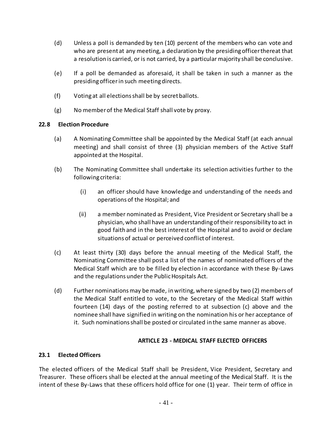- (d) Unless a poll is demanded by ten (10) percent of the members who can vote and who are present at any meeting, a declaration by the presiding officer thereat that a resolution is carried, or is not carried, by a particular majority shall be conclusive.
- (e) If a poll be demanded as aforesaid, it shall be taken in such a manner as the presiding officerin such meeting directs.
- (f) Voting at all elections shall be by secret ballots.
- (g) No member of the Medical Staff shall vote by proxy.

## <span id="page-47-0"></span>**22.8 Election Procedure**

- (a) A Nominating Committee shall be appointed by the Medical Staff (at each annual meeting) and shall consist of three (3) physician members of the Active Staff appointed at the Hospital.
- (b) The Nominating Committee shall undertake its selection activities further to the following criteria:
	- (i) an officer should have knowledge and understanding of the needs and operations of the Hospital; and
	- (ii) a member nominated as President, Vice President or Secretary shall be a physician, who shall have an understanding of their responsibility to act in good faith and in the best interest of the Hospital and to avoid or declare situations of actual or perceived conflict of interest.
- (c) At least thirty (30) days before the annual meeting of the Medical Staff, the Nominating Committee shall post a list of the names of nominated officers of the Medical Staff which are to be filled by election in accordance with these By-Laws and the regulations under the Public Hospitals Act.
- (d) Further nominations may be made, in writing, where signed by two (2) members of the Medical Staff entitled to vote, to the Secretary of the Medical Staff within fourteen (14) days of the posting referred to at subsection (c) above and the nominee shall have signified in writing on the nomination his or her acceptance of it. Such nominations shall be posted or circulated in the same manner as above.

### **ARTICLE 23 - MEDICAL STAFF ELECTED OFFICERS**

### <span id="page-47-2"></span><span id="page-47-1"></span>**23.1 Elected Officers**

The elected officers of the Medical Staff shall be President, Vice President, Secretary and Treasurer. These officers shall be elected at the annual meeting of the Medical Staff. It is the intent of these By-Laws that these officers hold office for one (1) year. Their term of office in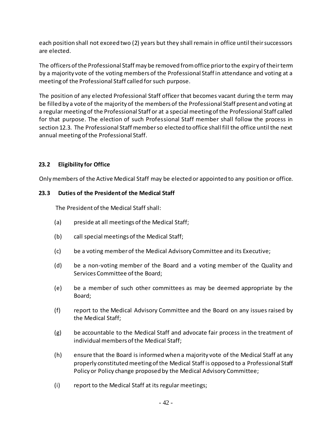each position shall not exceed two (2) years but they shall remain in office until their successors are elected.

The officers of the Professional Staff may be removed from office prior to the expiry of their term by a majority vote of the voting members of the Professional Staff in attendance and voting at a meeting of the Professional Staff called for such purpose.

The position of any elected Professional Staff officer that becomes vacant during the term may be filled by a vote of the majority of the members of the Professional Staff present and voting at a regular meeting of the Professional Staff or at a special meeting of the Professional Staff called for that purpose. The election of such Professional Staff member shall follow the process in section 12.3. The Professional Staff member so elected to office shall fill the office until the next annual meeting of the Professional Staff.

## <span id="page-48-0"></span>**23.2 Eligibility for Office**

Only members of the Active Medical Staff may be elected or appointed to any position or office.

### <span id="page-48-1"></span>**23.3 Duties of the President of the Medical Staff**

The President of the Medical Staff shall:

- (a) preside at all meetings of the Medical Staff;
- (b) call special meetings of the Medical Staff;
- (c) be a voting member of the Medical Advisory Committee and its Executive;
- (d) be a non-voting member of the Board and a voting member of the Quality and Services Committee of the Board;
- (e) be a member of such other committees as may be deemed appropriate by the Board;
- (f) report to the Medical Advisory Committee and the Board on any issues raised by the Medical Staff;
- (g) be accountable to the Medical Staff and advocate fair process in the treatment of individual members of the Medical Staff;
- (h) ensure that the Board is informed when a majority vote of the Medical Staff at any properly constituted meeting of the Medical Staff is opposed to a Professional Staff Policy or Policy change proposed by the Medical Advisory Committee;
- (i) report to the Medical Staff at its regular meetings;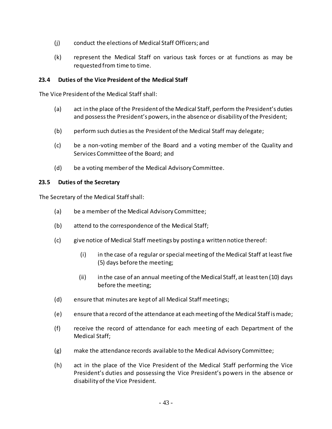- (j) conduct the elections of Medical Staff Officers; and
- (k) represent the Medical Staff on various task forces or at functions as may be requested from time to time.

### <span id="page-49-0"></span>**23.4 Duties of the Vice President of the Medical Staff**

The Vice President of the Medical Staff shall:

- (a) act in the place of the President of the Medical Staff, perform the President's duties and possess the President's powers, in the absence or disability of the President;
- (b) perform such duties as the President of the Medical Staff may delegate;
- (c) be a non-voting member of the Board and a voting member of the Quality and Services Committee of the Board; and
- (d) be a voting member of the Medical Advisory Committee.

### <span id="page-49-1"></span>**23.5 Duties of the Secretary**

The Secretary of the Medical Staff shall:

- (a) be a member of the Medical Advisory Committee;
- (b) attend to the correspondence of the Medical Staff;
- (c) give notice of Medical Staff meetings by posting a written notice thereof:
	- (i) in the case of a regular or special meeting of the Medical Staff at least five (5) days before the meeting;
	- (ii) in the case of an annual meeting of the Medical Staff, at least ten (10) days before the meeting;
- (d) ensure that minutes are kept of all Medical Staff meetings;
- (e) ensure that a record of the attendance at each meeting of the Medical Staff is made;
- (f) receive the record of attendance for each meeting of each Department of the Medical Staff;
- (g) make the attendance records available to the Medical Advisory Committee;
- (h) act in the place of the Vice President of the Medical Staff performing the Vice President's duties and possessing the Vice President's powers in the absence or disability of the Vice President.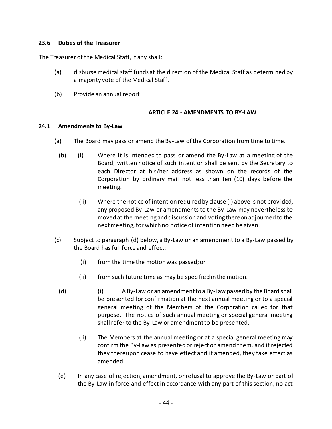#### <span id="page-50-0"></span>**23.6 Duties of the Treasurer**

The Treasurer of the Medical Staff, if any shall:

- (a) disburse medical staff funds at the direction of the Medical Staff as determined by a majority vote of the Medical Staff.
- (b) Provide an annual report

#### **ARTICLE 24 - AMENDMENTS TO BY-LAW**

#### <span id="page-50-2"></span><span id="page-50-1"></span>**24.1 Amendments to By-Law**

- (a) The Board may pass or amend the By-Law of the Corporation from time to time.
	- (b) (i) Where it is intended to pass or amend the By-Law at a meeting of the Board, written notice of such intention shall be sent by the Secretary to each Director at his/her address as shown on the records of the Corporation by ordinary mail not less than ten (10) days before the meeting.
		- (ii) Where the notice of intention required by clause (i) above is not provided, any proposed By-Law or amendments to the By-Law may nevertheless be moved at the meeting and discussion and voting thereon adjourned to the next meeting, for which no notice of intention need be given.
- (c) Subject to paragraph (d) below, a By-Law or an amendment to a By-Law passed by the Board has full force and effect:
	- (i) from the time the motion was passed; or
	- (ii) from such future time as may be specified in the motion.
	- (d) (i) A By-Law or an amendment to a By-Law passed by the Board shall be presented for confirmation at the next annual meeting or to a special general meeting of the Members of the Corporation called for that purpose. The notice of such annual meeting or special general meeting shall refer to the By-Law or amendment to be presented.
		- (ii) The Members at the annual meeting or at a special general meeting may confirm the By-Law as presented or reject or amend them, and if rejected they thereupon cease to have effect and if amended, they take effect as amended.
	- (e) In any case of rejection, amendment, or refusal to approve the By-Law or part of the By-Law in force and effect in accordance with any part of this section, no act